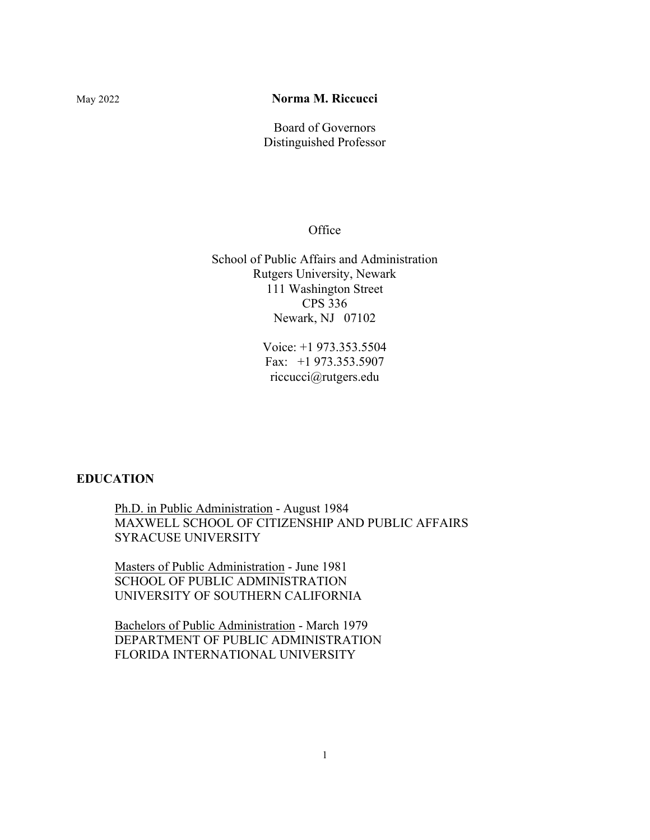# May 2022 **Norma M. Riccucci**

Board of Governors Distinguished Professor

**Office** 

School of Public Affairs and Administration Rutgers University, Newark 111 Washington Street CPS 336 Newark, NJ 07102

> Voice: +1 973.353.5504 Fax: +1 973.353.5907 riccucci@rutgers.edu

# **EDUCATION**

Ph.D. in Public Administration - August 1984 MAXWELL SCHOOL OF CITIZENSHIP AND PUBLIC AFFAIRS SYRACUSE UNIVERSITY

Masters of Public Administration - June 1981 SCHOOL OF PUBLIC ADMINISTRATION UNIVERSITY OF SOUTHERN CALIFORNIA

Bachelors of Public Administration - March 1979 DEPARTMENT OF PUBLIC ADMINISTRATION FLORIDA INTERNATIONAL UNIVERSITY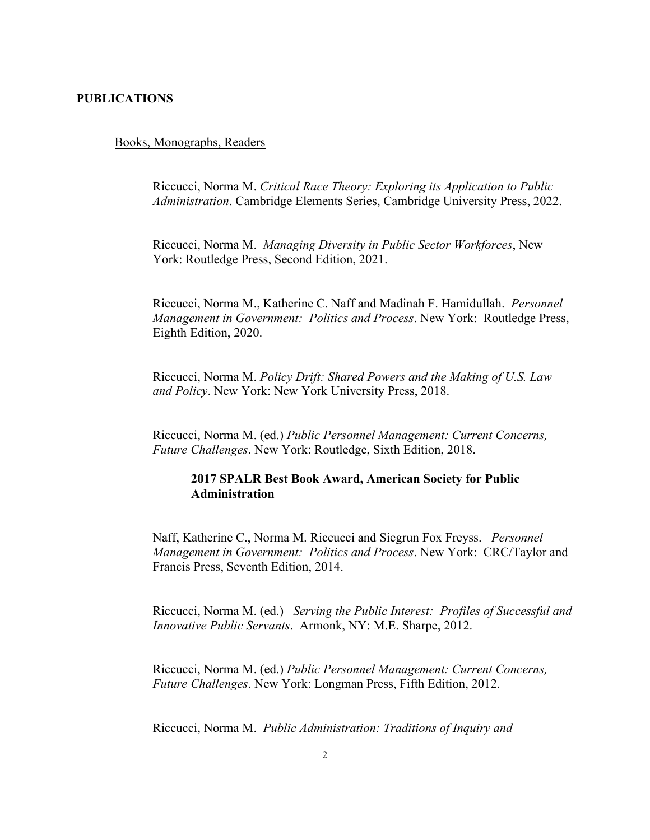### **PUBLICATIONS**

#### Books, Monographs, Readers

Riccucci, Norma M. *Critical Race Theory: Exploring its Application to Public Administration*. Cambridge Elements Series, Cambridge University Press, 2022.

Riccucci, Norma M. *Managing Diversity in Public Sector Workforces*, New York: Routledge Press, Second Edition, 2021.

Riccucci, Norma M., Katherine C. Naff and Madinah F. Hamidullah. *Personnel Management in Government: Politics and Process*. New York: Routledge Press, Eighth Edition, 2020.

Riccucci, Norma M. *Policy Drift: Shared Powers and the Making of U.S. Law and Policy*. New York: New York University Press, 2018.

Riccucci, Norma M. (ed.) *Public Personnel Management: Current Concerns, Future Challenges*. New York: Routledge, Sixth Edition, 2018.

# **2017 SPALR Best Book Award, American Society for Public Administration**

Naff, Katherine C., Norma M. Riccucci and Siegrun Fox Freyss. *Personnel Management in Government: Politics and Process*. New York: CRC/Taylor and Francis Press, Seventh Edition, 2014.

Riccucci, Norma M. (ed.) *Serving the Public Interest: Profiles of Successful and Innovative Public Servants*. Armonk, NY: M.E. Sharpe, 2012.

Riccucci, Norma M. (ed.) *Public Personnel Management: Current Concerns, Future Challenges*. New York: Longman Press, Fifth Edition, 2012.

Riccucci, Norma M. *Public Administration: Traditions of Inquiry and*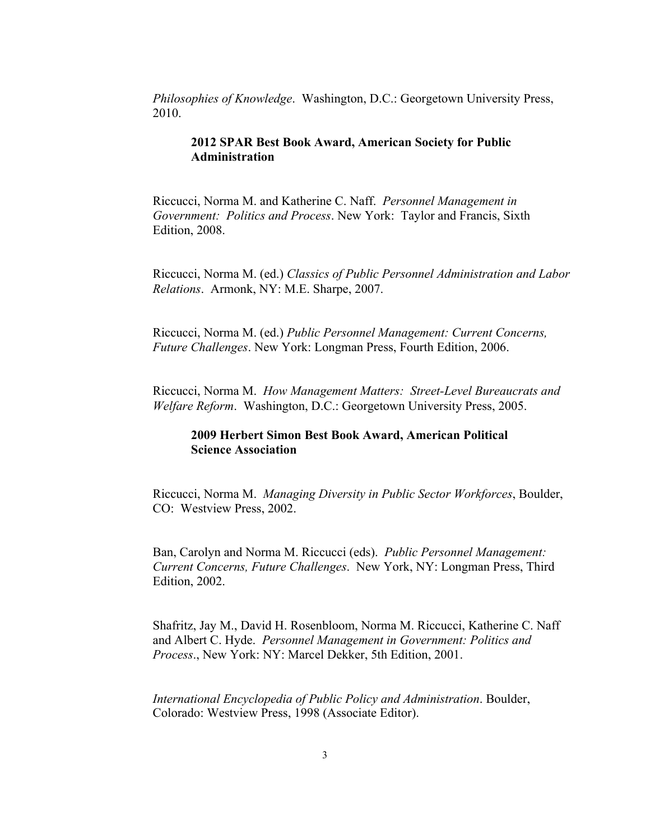*Philosophies of Knowledge*. Washington, D.C.: Georgetown University Press, 2010.

# **2012 SPAR Best Book Award, American Society for Public Administration**

Riccucci, Norma M. and Katherine C. Naff. *Personnel Management in Government: Politics and Process*. New York: Taylor and Francis, Sixth Edition, 2008.

Riccucci, Norma M. (ed.) *Classics of Public Personnel Administration and Labor Relations*. Armonk, NY: M.E. Sharpe, 2007.

Riccucci, Norma M. (ed.) *Public Personnel Management: Current Concerns, Future Challenges*. New York: Longman Press, Fourth Edition, 2006.

Riccucci, Norma M. *How Management Matters: Street-Level Bureaucrats and Welfare Reform*. Washington, D.C.: Georgetown University Press, 2005.

# **2009 Herbert Simon Best Book Award, American Political Science Association**

Riccucci, Norma M. *Managing Diversity in Public Sector Workforces*, Boulder, CO: Westview Press, 2002.

Ban, Carolyn and Norma M. Riccucci (eds). *Public Personnel Management: Current Concerns, Future Challenges*. New York, NY: Longman Press, Third Edition, 2002.

Shafritz, Jay M., David H. Rosenbloom, Norma M. Riccucci, Katherine C. Naff and Albert C. Hyde. *Personnel Management in Government: Politics and Process*., New York: NY: Marcel Dekker, 5th Edition, 2001.

*International Encyclopedia of Public Policy and Administration*. Boulder, Colorado: Westview Press, 1998 (Associate Editor).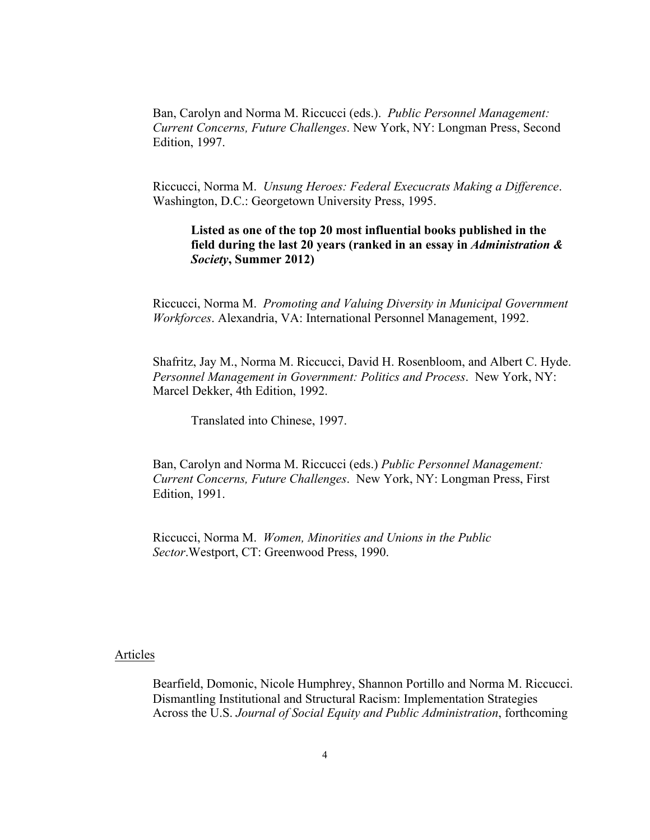Ban, Carolyn and Norma M. Riccucci (eds.). *Public Personnel Management: Current Concerns, Future Challenges*. New York, NY: Longman Press, Second Edition, 1997.

Riccucci, Norma M. *Unsung Heroes: Federal Execucrats Making a Difference*. Washington, D.C.: Georgetown University Press, 1995.

**Listed as one of the top 20 most influential books published in the field during the last 20 years (ranked in an essay in** *Administration & Society***, Summer 2012)**

Riccucci, Norma M. *Promoting and Valuing Diversity in Municipal Government Workforces*. Alexandria, VA: International Personnel Management, 1992.

Shafritz, Jay M., Norma M. Riccucci, David H. Rosenbloom, and Albert C. Hyde. *Personnel Management in Government: Politics and Process*. New York, NY: Marcel Dekker, 4th Edition, 1992.

Translated into Chinese, 1997.

Ban, Carolyn and Norma M. Riccucci (eds.) *Public Personnel Management: Current Concerns, Future Challenges*. New York, NY: Longman Press, First Edition, 1991.

Riccucci, Norma M. *Women, Minorities and Unions in the Public Sector*.Westport, CT: Greenwood Press, 1990.

#### Articles

Bearfield, Domonic, Nicole Humphrey, Shannon Portillo and Norma M. Riccucci. Dismantling Institutional and Structural Racism: Implementation Strategies Across the U.S. *Journal of Social Equity and Public Administration*, forthcoming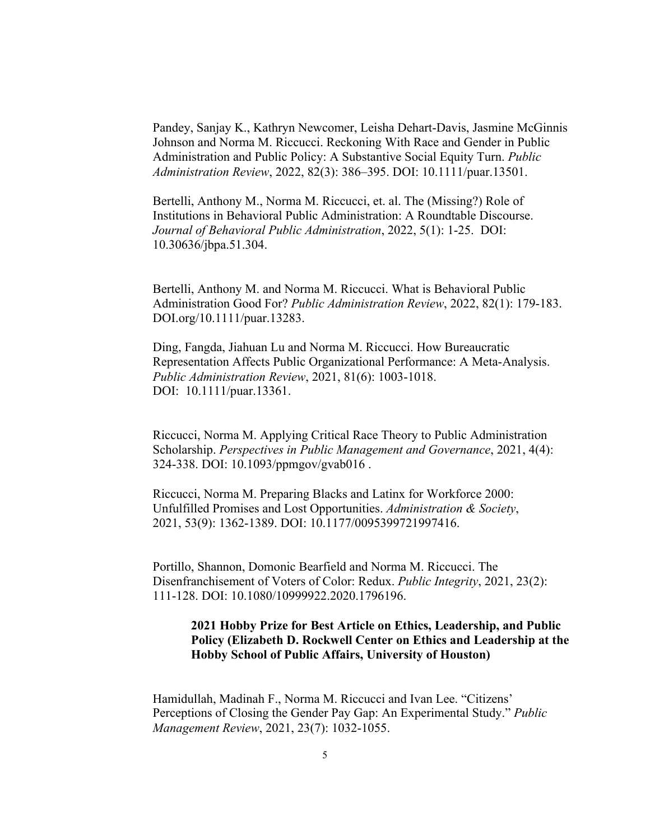Pandey, Sanjay K., Kathryn Newcomer, Leisha Dehart-Davis, Jasmine McGinnis Johnson and Norma M. Riccucci. Reckoning With Race and Gender in Public Administration and Public Policy: A Substantive Social Equity Turn. *Public Administration Review*, 2022, 82(3): 386–395. DOI: 10.1111/puar.13501.

Bertelli, Anthony M., Norma M. Riccucci, et. al. The (Missing?) Role of Institutions in Behavioral Public Administration: A Roundtable Discourse. *Journal of Behavioral Public Administration*, 2022, 5(1): 1-25. DOI: 10.30636/jbpa.51.304.

Bertelli, Anthony M. and Norma M. Riccucci. What is Behavioral Public Administration Good For? *Public Administration Review*, 2022, 82(1): 179-183. DOI.org/10.1111/puar.13283.

Ding, Fangda, Jiahuan Lu and Norma M. Riccucci. How Bureaucratic Representation Affects Public Organizational Performance: A Meta-Analysis. *Public Administration Review*, 2021, 81(6): 1003-1018. DOI: 10.1111/puar.13361.

Riccucci, Norma M. Applying Critical Race Theory to Public Administration Scholarship. *Perspectives in Public Management and Governance*, 2021, 4(4): 324-338. DOI: 10.1093/ppmgov/gvab016 .

Riccucci, Norma M. Preparing Blacks and Latinx for Workforce 2000: Unfulfilled Promises and Lost Opportunities. *Administration & Society*, 2021, 53(9): 1362-1389. DOI: 10.1177/0095399721997416.

Portillo, Shannon, Domonic Bearfield and Norma M. Riccucci. The Disenfranchisement of Voters of Color: Redux. *Public Integrity*, 2021, 23(2): 111-128. DOI: 10.1080/10999922.2020.1796196.

# **2021 Hobby Prize for Best Article on Ethics, Leadership, and Public Policy (Elizabeth D. Rockwell Center on Ethics and Leadership at the Hobby School of Public Affairs, University of Houston)**

Hamidullah, Madinah F., Norma M. Riccucci and Ivan Lee. "Citizens' Perceptions of Closing the Gender Pay Gap: An Experimental Study." *Public Management Review*, 2021, 23(7): 1032-1055.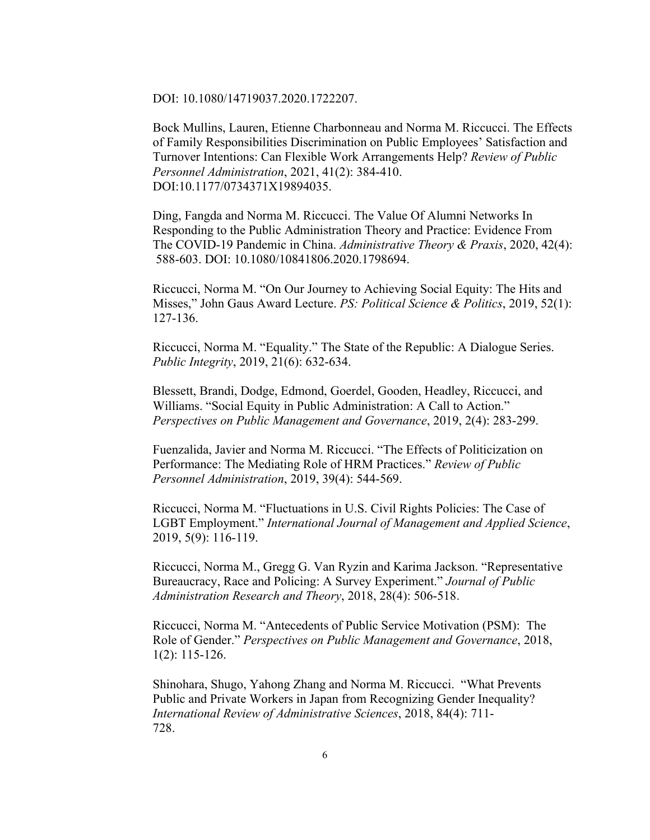DOI: 10.1080/14719037.2020.1722207.

Bock Mullins, Lauren, Etienne Charbonneau and Norma M. Riccucci. The Effects of Family Responsibilities Discrimination on Public Employees' Satisfaction and Turnover Intentions: Can Flexible Work Arrangements Help? *Review of Public Personnel Administration*, 2021, 41(2): 384-410. DOI:10.1177/0734371X19894035.

Ding, Fangda and Norma M. Riccucci. The Value Of Alumni Networks In Responding to the Public Administration Theory and Practice: Evidence From The COVID-19 Pandemic in China. *Administrative Theory & Praxis*, 2020, 42(4): 588-603. DOI: 10.1080/10841806.2020.1798694.

Riccucci, Norma M. "On Our Journey to Achieving Social Equity: The Hits and Misses," John Gaus Award Lecture. *PS: Political Science & Politics*, 2019, 52(1): 127-136.

Riccucci, Norma M. "Equality." The State of the Republic: A Dialogue Series. *Public Integrity*, 2019, 21(6): 632-634.

Blessett, Brandi, Dodge, Edmond, Goerdel, Gooden, Headley, Riccucci, and Williams. "Social Equity in Public Administration: A Call to Action." *Perspectives on Public Management and Governance*, 2019, 2(4): 283-299.

Fuenzalida, Javier and Norma M. Riccucci. "The Effects of Politicization on Performance: The Mediating Role of HRM Practices." *Review of Public Personnel Administration*, 2019, 39(4): 544-569.

Riccucci, Norma M. "Fluctuations in U.S. Civil Rights Policies: The Case of LGBT Employment." *International Journal of Management and Applied Science*, 2019, 5(9): 116-119.

Riccucci, Norma M., Gregg G. Van Ryzin and Karima Jackson. "Representative Bureaucracy, Race and Policing: A Survey Experiment." *Journal of Public Administration Research and Theory*, 2018, 28(4): 506-518.

Riccucci, Norma M. "Antecedents of Public Service Motivation (PSM): The Role of Gender." *Perspectives on Public Management and Governance*, 2018, 1(2): 115-126.

Shinohara, Shugo, Yahong Zhang and Norma M. Riccucci. "What Prevents Public and Private Workers in Japan from Recognizing Gender Inequality? *International Review of Administrative Sciences*, 2018, 84(4): 711- 728.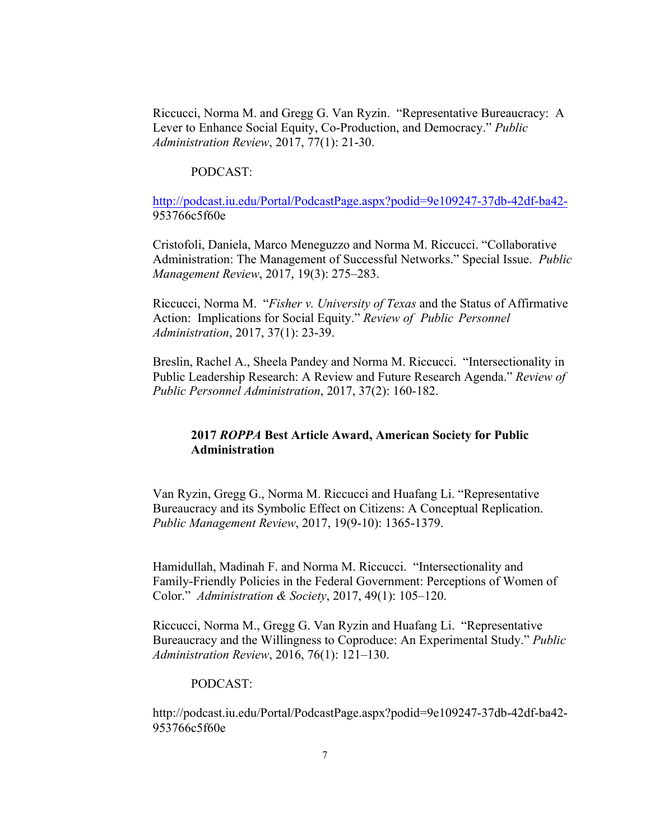Riccucci, Norma M. and Gregg G. Van Ryzin. "Representative Bureaucracy: A Lever to Enhance Social Equity, Co-Production, and Democracy." *Public Administration Review*, 2017, 77(1): 21-30.

### PODCAST:

http://podcast.iu.edu/Portal/PodcastPage.aspx?podid=9e109247-37db-42df-ba42- 953766c5f60e

Cristofoli, Daniela, Marco Meneguzzo and Norma M. Riccucci. "Collaborative Administration: The Management of Successful Networks." Special Issue. *Public Management Review*, 2017, 19(3): 275–283.

Riccucci, Norma M. "*Fisher v. University of Texas* and the Status of Affirmative Action: Implications for Social Equity." *Review of Public Personnel Administration*, 2017, 37(1): 23-39.

Breslin, Rachel A., Sheela Pandey and Norma M. Riccucci. "Intersectionality in Public Leadership Research: A Review and Future Research Agenda." *Review of Public Personnel Administration*, 2017, 37(2): 160-182.

# **2017** *ROPPA* **Best Article Award, American Society for Public Administration**

Van Ryzin, Gregg G., Norma M. Riccucci and Huafang Li. "Representative Bureaucracy and its Symbolic Effect on Citizens: A Conceptual Replication. *Public Management Review*, 2017, 19(9-10): 1365-1379.

Hamidullah, Madinah F. and Norma M. Riccucci. "Intersectionality and Family-Friendly Policies in the Federal Government: Perceptions of Women of Color." *Administration & Society*, 2017, 49(1): 105–120.

Riccucci, Norma M., Gregg G. Van Ryzin and Huafang Li. "Representative Bureaucracy and the Willingness to Coproduce: An Experimental Study." *Public Administration Review*, 2016, 76(1): 121–130.

### PODCAST:

http://podcast.iu.edu/Portal/PodcastPage.aspx?podid=9e109247-37db-42df-ba42- 953766c5f60e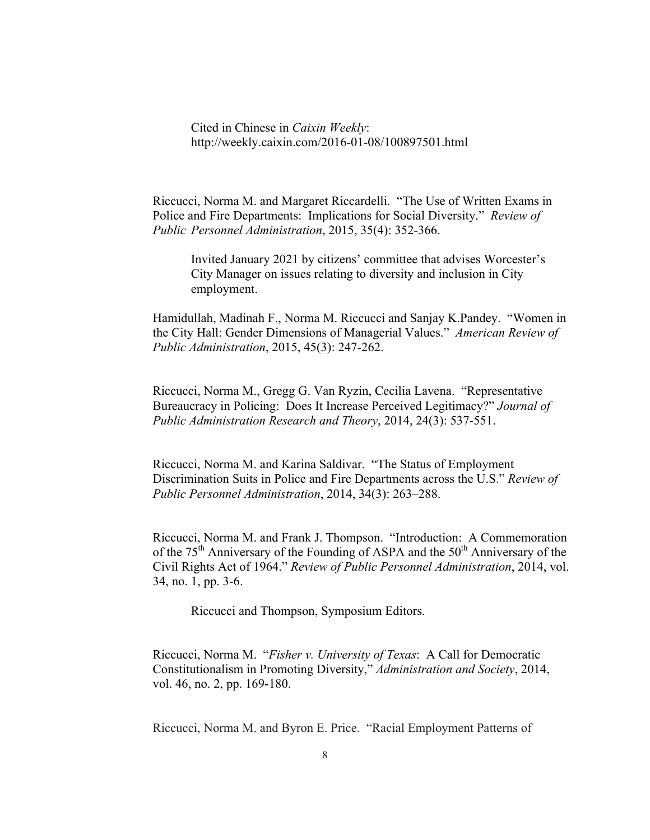Cited in Chinese in *Caixin Weekly*: http://weekly.caixin.com/2016-01-08/100897501.html

Riccucci, Norma M. and Margaret Riccardelli. "The Use of Written Exams in Police and Fire Departments: Implications for Social Diversity." *Review of Public Personnel Administration*, 2015, 35(4): 352-366.

Invited January 2021 by citizens' committee that advises Worcester's City Manager on issues relating to diversity and inclusion in City employment.

Hamidullah, Madinah F., Norma M. Riccucci and Sanjay K.Pandey. "Women in the City Hall: Gender Dimensions of Managerial Values." *American Review of Public Administration*, 2015, 45(3): 247-262.

Riccucci, Norma M., Gregg G. Van Ryzin, Cecilia Lavena. "Representative Bureaucracy in Policing: Does It Increase Perceived Legitimacy?" *Journal of Public Administration Research and Theory*, 2014, 24(3): 537-551.

Riccucci, Norma M. and Karina Saldivar. "The Status of Employment Discrimination Suits in Police and Fire Departments across the U.S." *Review of Public Personnel Administration*, 2014, 34(3): 263–288.

Riccucci, Norma M. and Frank J. Thompson. "Introduction: A Commemoration of the  $75<sup>th</sup>$  Anniversary of the Founding of ASPA and the  $50<sup>th</sup>$  Anniversary of the Civil Rights Act of 1964." *Review of Public Personnel Administration*, 2014, vol. 34, no. 1, pp. 3-6.

Riccucci and Thompson, Symposium Editors.

Riccucci, Norma M. "*Fisher v. University of Texas*: A Call for Democratic Constitutionalism in Promoting Diversity," *Administration and Society*, 2014, vol. 46, no. 2, pp. 169-180.

Riccucci, Norma M. and Byron E. Price. "Racial Employment Patterns of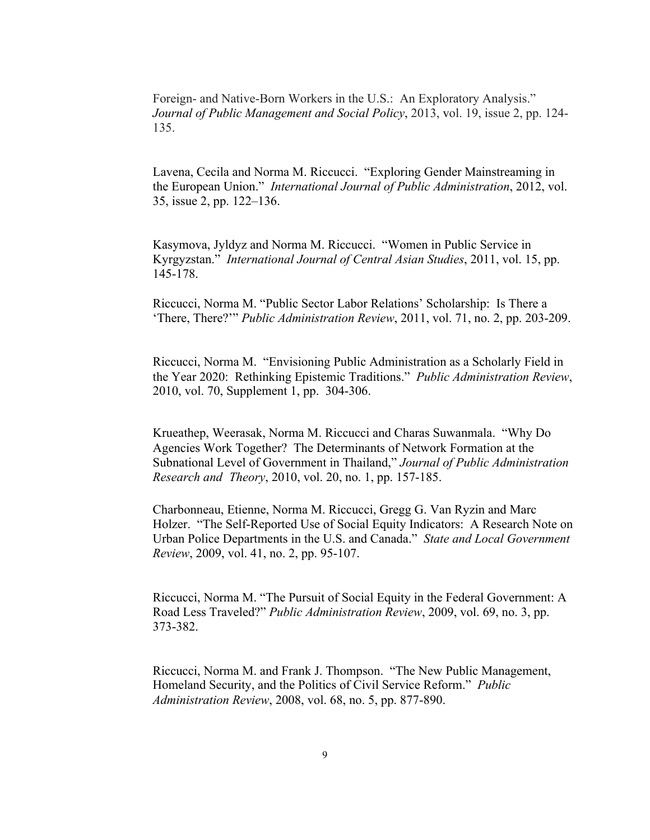Foreign- and Native-Born Workers in the U.S.: An Exploratory Analysis." *Journal of Public Management and Social Policy*, 2013, vol. 19, issue 2, pp. 124- 135.

Lavena, Cecila and Norma M. Riccucci. "Exploring Gender Mainstreaming in the European Union." *International Journal of Public Administration*, 2012, vol. 35, issue 2, pp. 122–136.

Kasymova, Jyldyz and Norma M. Riccucci. "Women in Public Service in Kyrgyzstan." *International Journal of Central Asian Studies*, 2011, vol. 15, pp. 145-178.

Riccucci, Norma M. "Public Sector Labor Relations' Scholarship: Is There a 'There, There?'" *Public Administration Review*, 2011, vol. 71, no. 2, pp. 203-209.

Riccucci, Norma M. "Envisioning Public Administration as a Scholarly Field in the Year 2020: Rethinking Epistemic Traditions." *Public Administration Review*, 2010, vol. 70, Supplement 1, pp. 304-306.

Krueathep, Weerasak, Norma M. Riccucci and Charas Suwanmala. "Why Do Agencies Work Together? The Determinants of Network Formation at the Subnational Level of Government in Thailand," *Journal of Public Administration Research and Theory*, 2010, vol. 20, no. 1, pp. 157-185.

Charbonneau, Etienne, Norma M. Riccucci, Gregg G. Van Ryzin and Marc Holzer. "The Self-Reported Use of Social Equity Indicators: A Research Note on Urban Police Departments in the U.S. and Canada." *State and Local Government Review*, 2009, vol. 41, no. 2, pp. 95-107.

Riccucci, Norma M. "The Pursuit of Social Equity in the Federal Government: A Road Less Traveled?" *Public Administration Review*, 2009, vol. 69, no. 3, pp. 373-382.

Riccucci, Norma M. and Frank J. Thompson. "The New Public Management, Homeland Security, and the Politics of Civil Service Reform." *Public Administration Review*, 2008, vol. 68, no. 5, pp. 877-890.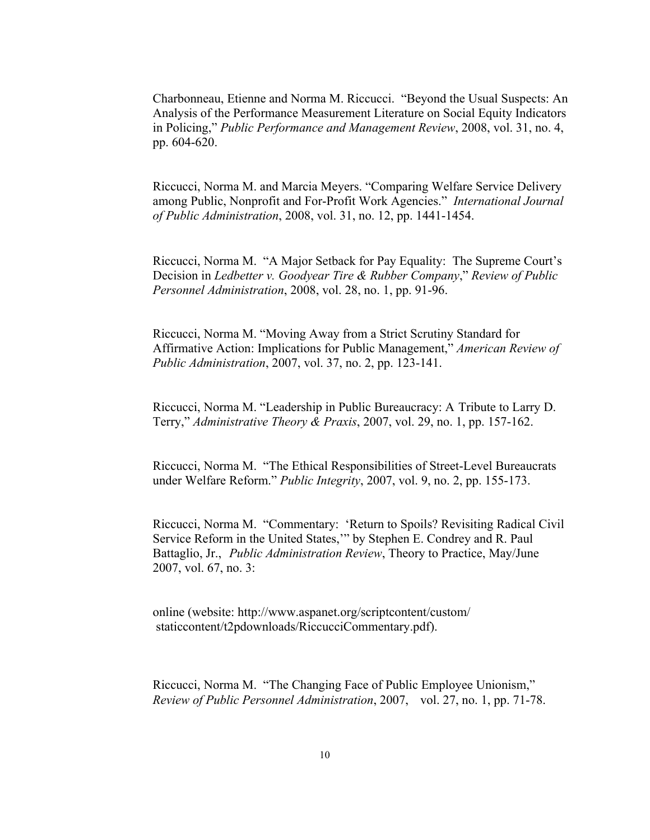Charbonneau, Etienne and Norma M. Riccucci. "Beyond the Usual Suspects: An Analysis of the Performance Measurement Literature on Social Equity Indicators in Policing," *Public Performance and Management Review*, 2008, vol. 31, no. 4, pp. 604-620.

Riccucci, Norma M. and Marcia Meyers. "Comparing Welfare Service Delivery among Public, Nonprofit and For-Profit Work Agencies." *International Journal of Public Administration*, 2008, vol. 31, no. 12, pp. 1441-1454.

Riccucci, Norma M. "A Major Setback for Pay Equality: The Supreme Court's Decision in *Ledbetter v. Goodyear Tire & Rubber Company*," *Review of Public Personnel Administration*, 2008, vol. 28, no. 1, pp. 91-96.

Riccucci, Norma M. "Moving Away from a Strict Scrutiny Standard for Affirmative Action: Implications for Public Management," *American Review of Public Administration*, 2007, vol. 37, no. 2, pp. 123-141.

Riccucci, Norma M. "Leadership in Public Bureaucracy: A Tribute to Larry D. Terry," *Administrative Theory & Praxis*, 2007, vol. 29, no. 1, pp. 157-162.

Riccucci, Norma M. "The Ethical Responsibilities of Street-Level Bureaucrats under Welfare Reform." *Public Integrity*, 2007, vol. 9, no. 2, pp. 155-173.

Riccucci, Norma M. "Commentary: 'Return to Spoils? Revisiting Radical Civil Service Reform in the United States,'" by Stephen E. Condrey and R. Paul Battaglio, Jr., *Public Administration Review*, Theory to Practice, May/June 2007, vol. 67, no. 3:

online (website: http://www.aspanet.org/scriptcontent/custom/ staticcontent/t2pdownloads/RiccucciCommentary.pdf).

Riccucci, Norma M. "The Changing Face of Public Employee Unionism," *Review of Public Personnel Administration*, 2007, vol. 27, no. 1, pp. 71-78.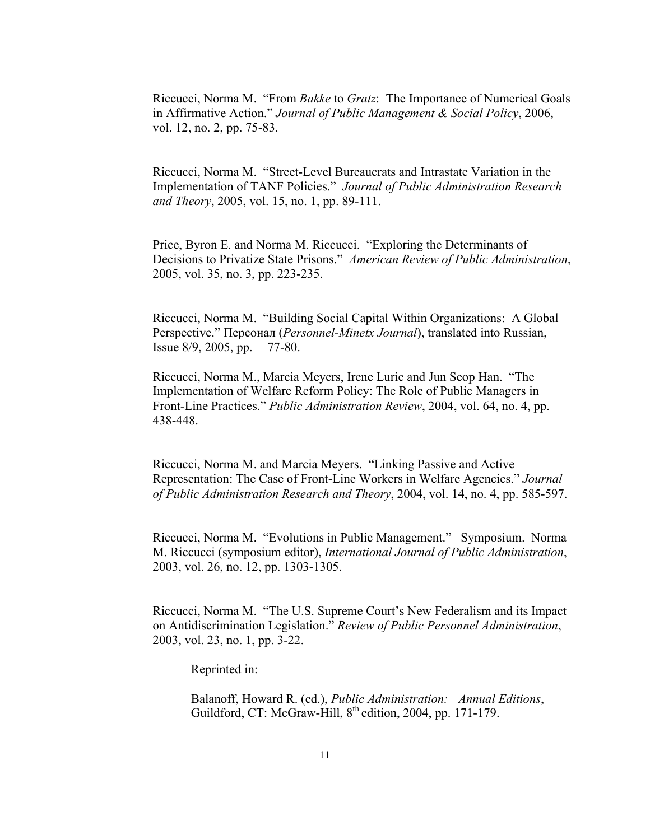Riccucci, Norma M. "From *Bakke* to *Gratz*: The Importance of Numerical Goals in Affirmative Action." *Journal of Public Management & Social Policy*, 2006, vol. 12, no. 2, pp. 75-83.

Riccucci, Norma M. "Street-Level Bureaucrats and Intrastate Variation in the Implementation of TANF Policies." *Journal of Public Administration Research and Theory*, 2005, vol. 15, no. 1, pp. 89-111.

Price, Byron E. and Norma M. Riccucci. "Exploring the Determinants of Decisions to Privatize State Prisons." *American Review of Public Administration*, 2005, vol. 35, no. 3, pp. 223-235.

Riccucci, Norma M. "Building Social Capital Within Organizations: A Global Perspective." Персонал (*Personnel-Minetx Journal*), translated into Russian, Issue 8/9, 2005, pp. 77-80.

Riccucci, Norma M., Marcia Meyers, Irene Lurie and Jun Seop Han. "The Implementation of Welfare Reform Policy: The Role of Public Managers in Front-Line Practices." *Public Administration Review*, 2004, vol. 64, no. 4, pp. 438-448.

Riccucci, Norma M. and Marcia Meyers. "Linking Passive and Active Representation: The Case of Front-Line Workers in Welfare Agencies." *Journal of Public Administration Research and Theory*, 2004, vol. 14, no. 4, pp. 585-597.

Riccucci, Norma M. "Evolutions in Public Management." Symposium. Norma M. Riccucci (symposium editor), *International Journal of Public Administration*, 2003, vol. 26, no. 12, pp. 1303-1305.

Riccucci, Norma M. "The U.S. Supreme Court's New Federalism and its Impact on Antidiscrimination Legislation." *Review of Public Personnel Administration*, 2003, vol. 23, no. 1, pp. 3-22.

Reprinted in:

Balanoff, Howard R. (ed.), *Public Administration: Annual Editions*, Guildford, CT: McGraw-Hill, 8<sup>th</sup> edition, 2004, pp. 171-179.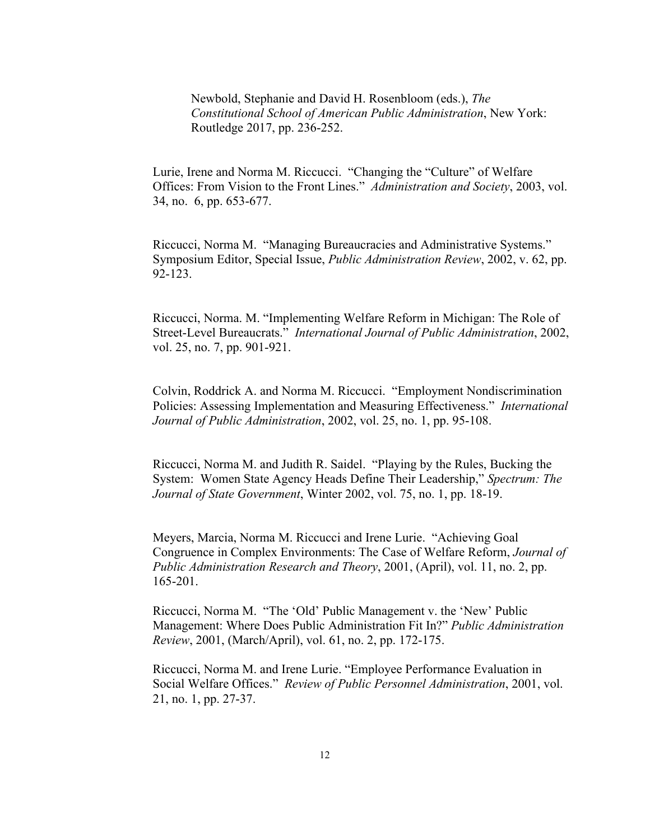Newbold, Stephanie and David H. Rosenbloom (eds.), *The Constitutional School of American Public Administration*, New York: Routledge 2017, pp. 236-252.

Lurie, Irene and Norma M. Riccucci. "Changing the "Culture" of Welfare Offices: From Vision to the Front Lines." *Administration and Society*, 2003, vol. 34, no. 6, pp. 653-677.

Riccucci, Norma M. "Managing Bureaucracies and Administrative Systems." Symposium Editor, Special Issue, *Public Administration Review*, 2002, v. 62, pp. 92-123.

Riccucci, Norma. M. "Implementing Welfare Reform in Michigan: The Role of Street-Level Bureaucrats." *International Journal of Public Administration*, 2002, vol. 25, no. 7, pp. 901-921.

Colvin, Roddrick A. and Norma M. Riccucci. "Employment Nondiscrimination Policies: Assessing Implementation and Measuring Effectiveness." *International Journal of Public Administration*, 2002, vol. 25, no. 1, pp. 95-108.

Riccucci, Norma M. and Judith R. Saidel. "Playing by the Rules, Bucking the System: Women State Agency Heads Define Their Leadership," *Spectrum: The Journal of State Government*, Winter 2002, vol. 75, no. 1, pp. 18-19.

Meyers, Marcia, Norma M. Riccucci and Irene Lurie. "Achieving Goal Congruence in Complex Environments: The Case of Welfare Reform, *Journal of Public Administration Research and Theory*, 2001, (April), vol. 11, no. 2, pp. 165-201.

Riccucci, Norma M. "The 'Old' Public Management v. the 'New' Public Management: Where Does Public Administration Fit In?" *Public Administration Review*, 2001, (March/April), vol. 61, no. 2, pp. 172-175.

Riccucci, Norma M. and Irene Lurie. "Employee Performance Evaluation in Social Welfare Offices." *Review of Public Personnel Administration*, 2001, vol. 21, no. 1, pp. 27-37.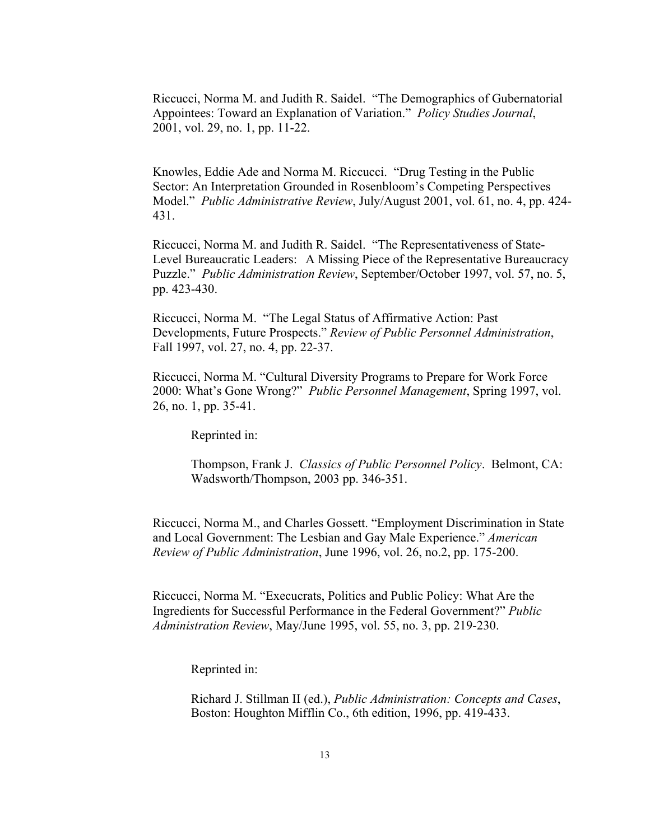Riccucci, Norma M. and Judith R. Saidel. "The Demographics of Gubernatorial Appointees: Toward an Explanation of Variation." *Policy Studies Journal*, 2001, vol. 29, no. 1, pp. 11-22.

Knowles, Eddie Ade and Norma M. Riccucci. "Drug Testing in the Public Sector: An Interpretation Grounded in Rosenbloom's Competing Perspectives Model." *Public Administrative Review*, July/August 2001, vol. 61, no. 4, pp. 424- 431.

Riccucci, Norma M. and Judith R. Saidel. "The Representativeness of State-Level Bureaucratic Leaders: A Missing Piece of the Representative Bureaucracy Puzzle." *Public Administration Review*, September/October 1997, vol. 57, no. 5, pp. 423-430.

Riccucci, Norma M. "The Legal Status of Affirmative Action: Past Developments, Future Prospects." *Review of Public Personnel Administration*, Fall 1997, vol. 27, no. 4, pp. 22-37.

Riccucci, Norma M. "Cultural Diversity Programs to Prepare for Work Force 2000: What's Gone Wrong?" *Public Personnel Management*, Spring 1997, vol. 26, no. 1, pp. 35-41.

Reprinted in:

Thompson, Frank J. *Classics of Public Personnel Policy*. Belmont, CA: Wadsworth/Thompson, 2003 pp. 346-351.

Riccucci, Norma M., and Charles Gossett. "Employment Discrimination in State and Local Government: The Lesbian and Gay Male Experience." *American Review of Public Administration*, June 1996, vol. 26, no.2, pp. 175-200.

Riccucci, Norma M. "Execucrats, Politics and Public Policy: What Are the Ingredients for Successful Performance in the Federal Government?" *Public Administration Review*, May/June 1995, vol. 55, no. 3, pp. 219-230.

Reprinted in:

Richard J. Stillman II (ed.), *Public Administration: Concepts and Cases*, Boston: Houghton Mifflin Co., 6th edition, 1996, pp. 419-433.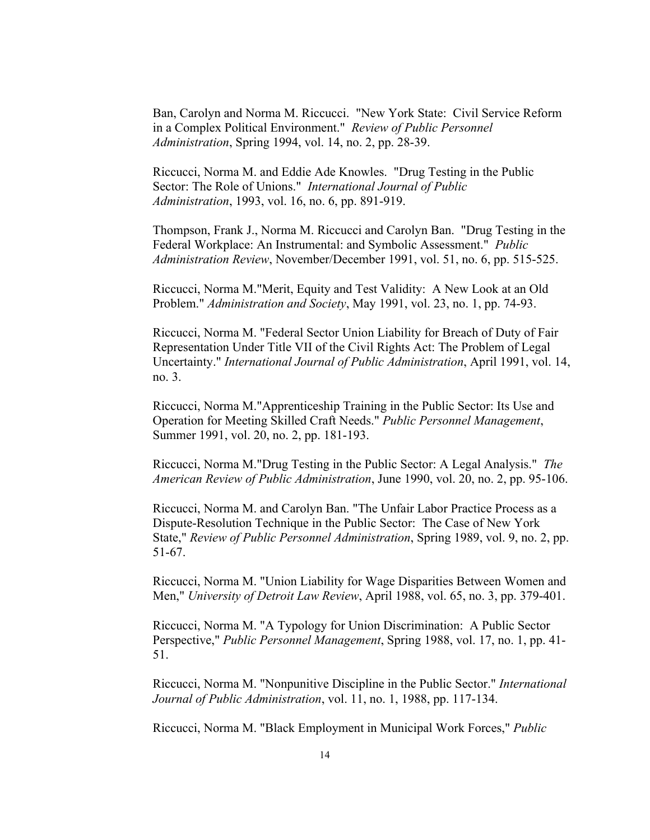Ban, Carolyn and Norma M. Riccucci. "New York State: Civil Service Reform in a Complex Political Environment." *Review of Public Personnel Administration*, Spring 1994, vol. 14, no. 2, pp. 28-39.

Riccucci, Norma M. and Eddie Ade Knowles. "Drug Testing in the Public Sector: The Role of Unions." *International Journal of Public Administration*, 1993, vol. 16, no. 6, pp. 891-919.

Thompson, Frank J., Norma M. Riccucci and Carolyn Ban. "Drug Testing in the Federal Workplace: An Instrumental: and Symbolic Assessment." *Public Administration Review*, November/December 1991, vol. 51, no. 6, pp. 515-525.

Riccucci, Norma M."Merit, Equity and Test Validity: A New Look at an Old Problem." *Administration and Society*, May 1991, vol. 23, no. 1, pp. 74-93.

Riccucci, Norma M. "Federal Sector Union Liability for Breach of Duty of Fair Representation Under Title VII of the Civil Rights Act: The Problem of Legal Uncertainty." *International Journal of Public Administration*, April 1991, vol. 14, no. 3.

Riccucci, Norma M."Apprenticeship Training in the Public Sector: Its Use and Operation for Meeting Skilled Craft Needs." *Public Personnel Management*, Summer 1991, vol. 20, no. 2, pp. 181-193.

Riccucci, Norma M."Drug Testing in the Public Sector: A Legal Analysis." *The American Review of Public Administration*, June 1990, vol. 20, no. 2, pp. 95-106.

Riccucci, Norma M. and Carolyn Ban. "The Unfair Labor Practice Process as a Dispute-Resolution Technique in the Public Sector: The Case of New York State," *Review of Public Personnel Administration*, Spring 1989, vol. 9, no. 2, pp. 51-67.

Riccucci, Norma M. "Union Liability for Wage Disparities Between Women and Men," *University of Detroit Law Review*, April 1988, vol. 65, no. 3, pp. 379-401.

Riccucci, Norma M. "A Typology for Union Discrimination: A Public Sector Perspective," *Public Personnel Management*, Spring 1988, vol. 17, no. 1, pp. 41- 51.

Riccucci, Norma M. "Nonpunitive Discipline in the Public Sector." *International Journal of Public Administration*, vol. 11, no. 1, 1988, pp. 117-134.

Riccucci, Norma M. "Black Employment in Municipal Work Forces," *Public*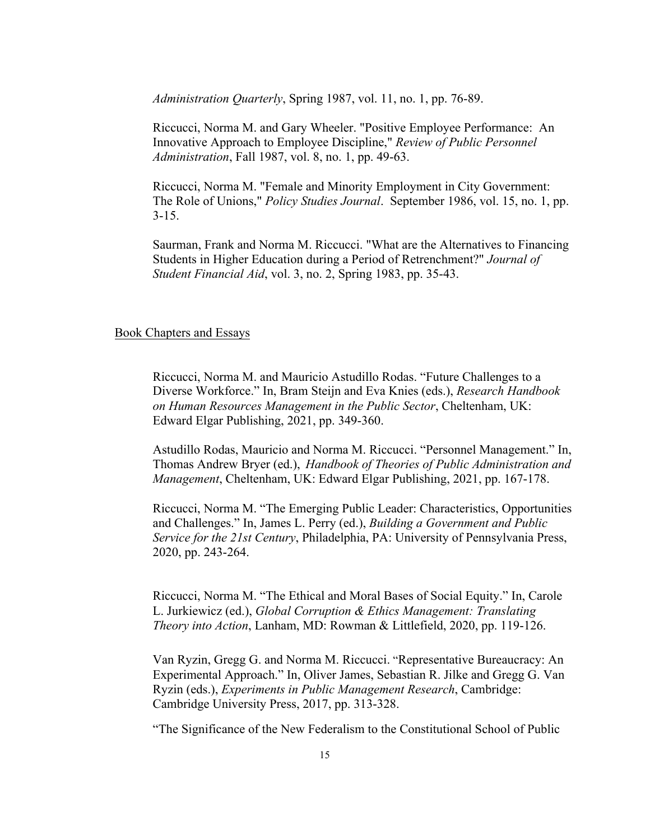*Administration Quarterly*, Spring 1987, vol. 11, no. 1, pp. 76-89.

Riccucci, Norma M. and Gary Wheeler. "Positive Employee Performance: An Innovative Approach to Employee Discipline," *Review of Public Personnel Administration*, Fall 1987, vol. 8, no. 1, pp. 49-63.

Riccucci, Norma M. "Female and Minority Employment in City Government: The Role of Unions," *Policy Studies Journal*. September 1986, vol. 15, no. 1, pp.  $3 - 15$ .

Saurman, Frank and Norma M. Riccucci. "What are the Alternatives to Financing Students in Higher Education during a Period of Retrenchment?" *Journal of Student Financial Aid*, vol. 3, no. 2, Spring 1983, pp. 35-43.

### Book Chapters and Essays

Riccucci, Norma M. and Mauricio Astudillo Rodas. "Future Challenges to a Diverse Workforce." In, Bram Steijn and Eva Knies (eds.), *Research Handbook on Human Resources Management in the Public Sector*, Cheltenham, UK: Edward Elgar Publishing, 2021, pp. 349-360.

Astudillo Rodas, Mauricio and Norma M. Riccucci. "Personnel Management." In, Thomas Andrew Bryer (ed.), *Handbook of Theories of Public Administration and Management*, Cheltenham, UK: Edward Elgar Publishing, 2021, pp. 167-178.

Riccucci, Norma M. "The Emerging Public Leader: Characteristics, Opportunities and Challenges." In, James L. Perry (ed.), *Building a Government and Public Service for the 21st Century*, Philadelphia, PA: University of Pennsylvania Press, 2020, pp. 243-264.

Riccucci, Norma M. "The Ethical and Moral Bases of Social Equity." In, Carole L. Jurkiewicz (ed.), *Global Corruption & Ethics Management: Translating Theory into Action*, Lanham, MD: Rowman & Littlefield, 2020, pp. 119-126.

Van Ryzin, Gregg G. and Norma M. Riccucci. "Representative Bureaucracy: An Experimental Approach." In, Oliver James, Sebastian R. Jilke and Gregg G. Van Ryzin (eds.), *Experiments in Public Management Research*, Cambridge: Cambridge University Press, 2017, pp. 313-328.

"The Significance of the New Federalism to the Constitutional School of Public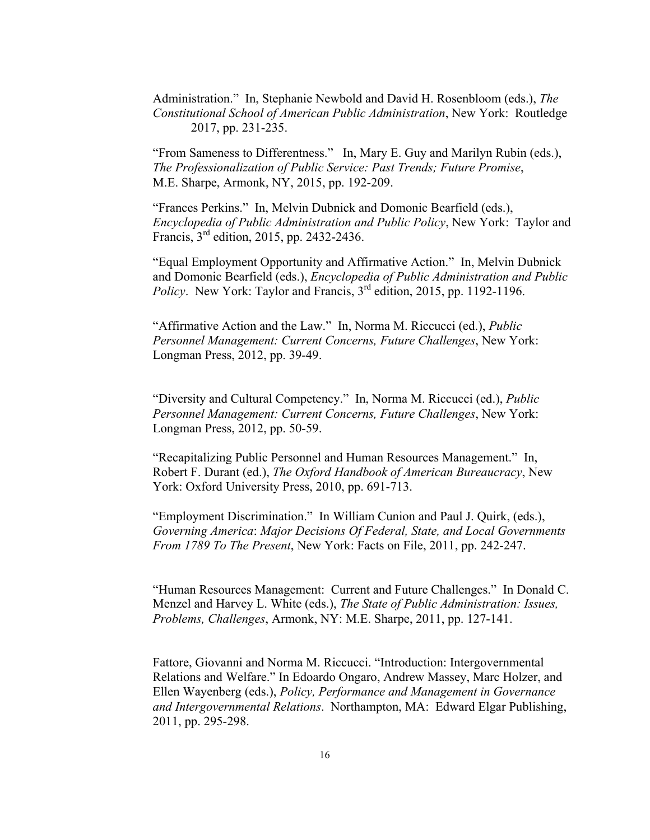Administration." In, Stephanie Newbold and David H. Rosenbloom (eds.), *The Constitutional School of American Public Administration*, New York: Routledge 2017, pp. 231-235.

"From Sameness to Differentness." In, Mary E. Guy and Marilyn Rubin (eds.), *The Professionalization of Public Service: Past Trends; Future Promise*, M.E. Sharpe, Armonk, NY, 2015, pp. 192-209.

"Frances Perkins." In, Melvin Dubnick and Domonic Bearfield (eds.), *Encyclopedia of Public Administration and Public Policy*, New York: Taylor and Francis, 3rd edition, 2015, pp. 2432-2436.

"Equal Employment Opportunity and Affirmative Action." In, Melvin Dubnick and Domonic Bearfield (eds.), *Encyclopedia of Public Administration and Public Policy*. New York: Taylor and Francis, 3<sup>rd</sup> edition, 2015, pp. 1192-1196.

"Affirmative Action and the Law." In, Norma M. Riccucci (ed.), *Public Personnel Management: Current Concerns, Future Challenges*, New York: Longman Press, 2012, pp. 39-49.

"Diversity and Cultural Competency." In, Norma M. Riccucci (ed.), *Public Personnel Management: Current Concerns, Future Challenges*, New York: Longman Press, 2012, pp. 50-59.

"Recapitalizing Public Personnel and Human Resources Management." In, Robert F. Durant (ed.), *The Oxford Handbook of American Bureaucracy*, New York: Oxford University Press, 2010, pp. 691-713.

"Employment Discrimination." In William Cunion and Paul J. Quirk, (eds.), *Governing America*: *Major Decisions Of Federal, State, and Local Governments From 1789 To The Present*, New York: Facts on File, 2011, pp. 242-247.

"Human Resources Management: Current and Future Challenges." In Donald C. Menzel and Harvey L. White (eds.), *The State of Public Administration: Issues, Problems, Challenges*, Armonk, NY: M.E. Sharpe, 2011, pp. 127-141.

Fattore, Giovanni and Norma M. Riccucci. "Introduction: Intergovernmental Relations and Welfare." In Edoardo Ongaro, Andrew Massey, Marc Holzer, and Ellen Wayenberg (eds.), *Policy, Performance and Management in Governance and Intergovernmental Relations*. Northampton, MA: Edward Elgar Publishing, 2011, pp. 295-298.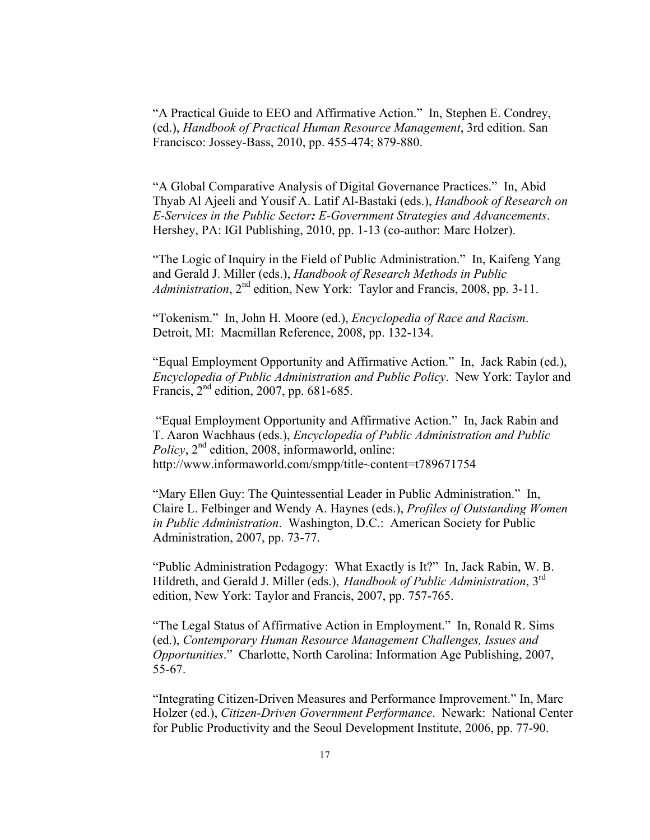"A Practical Guide to EEO and Affirmative Action." In, Stephen E. Condrey, (ed.), *Handbook of Practical Human Resource Management*, 3rd edition. San Francisco: Jossey-Bass, 2010, pp. 455-474; 879-880.

"A Global Comparative Analysis of Digital Governance Practices." In, Abid Thyab Al Ajeeli and Yousif A. Latif Al-Bastaki (eds.), *Handbook of Research on E-Services in the Public Sector: E-Government Strategies and Advancements*. Hershey, PA: IGI Publishing, 2010, pp. 1-13 (co-author: Marc Holzer).

"The Logic of Inquiry in the Field of Public Administration." In, Kaifeng Yang and Gerald J. Miller (eds.), *Handbook of Research Methods in Public Administration*, 2<sup>nd</sup> edition, New York: Taylor and Francis, 2008, pp. 3-11.

"Tokenism." In, John H. Moore (ed.), *Encyclopedia of Race and Racism*. Detroit, MI: Macmillan Reference, 2008, pp. 132-134.

"Equal Employment Opportunity and Affirmative Action." In, Jack Rabin (ed.), *Encyclopedia of Public Administration and Public Policy*. New York: Taylor and Francis,  $2<sup>nd</sup>$  edition, 2007, pp. 681-685.

"Equal Employment Opportunity and Affirmative Action." In, Jack Rabin and T. Aaron Wachhaus (eds.), *Encyclopedia of Public Administration and Public Policy*, 2<sup>nd</sup> edition, 2008, informaworld, online: http://www.informaworld.com/smpp/title~content=t789671754

"Mary Ellen Guy: The Quintessential Leader in Public Administration." In, Claire L. Felbinger and Wendy A. Haynes (eds.), *Profiles of Outstanding Women in Public Administration*. Washington, D.C.: American Society for Public Administration, 2007, pp. 73-77.

"Public Administration Pedagogy: What Exactly is It?" In, Jack Rabin, W. B. Hildreth, and Gerald J. Miller (eds.), *Handbook of Public Administration*, 3rd edition, New York: Taylor and Francis, 2007, pp. 757-765.

"The Legal Status of Affirmative Action in Employment." In, Ronald R. Sims (ed.), *Contemporary Human Resource Management Challenges, Issues and Opportunities*." Charlotte, North Carolina: Information Age Publishing, 2007, 55-67.

"Integrating Citizen-Driven Measures and Performance Improvement." In, Marc Holzer (ed.), *Citizen-Driven Government Performance*. Newark: National Center for Public Productivity and the Seoul Development Institute, 2006, pp. 77-90.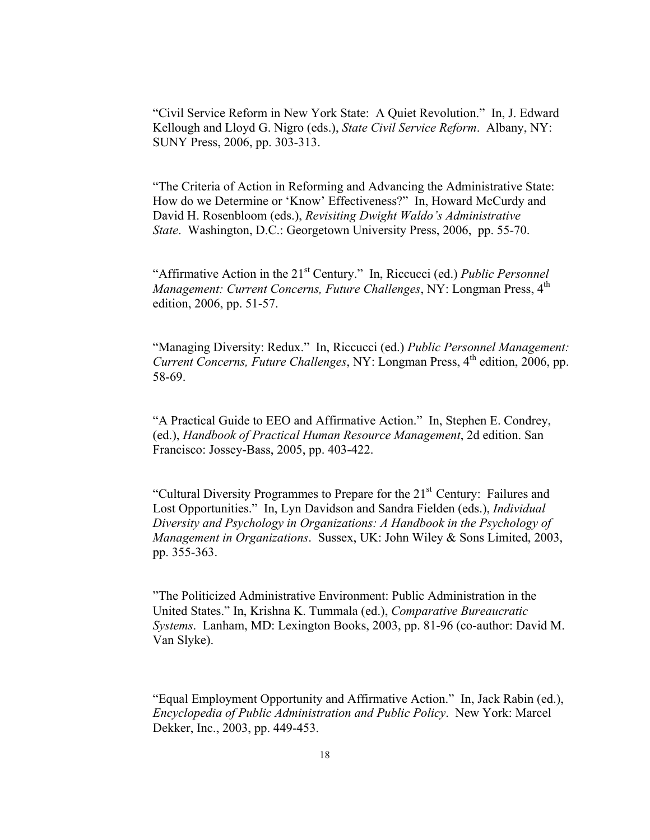"Civil Service Reform in New York State: A Quiet Revolution." In, J. Edward Kellough and Lloyd G. Nigro (eds.), *State Civil Service Reform*. Albany, NY: SUNY Press, 2006, pp. 303-313.

"The Criteria of Action in Reforming and Advancing the Administrative State: How do we Determine or 'Know' Effectiveness?" In, Howard McCurdy and David H. Rosenbloom (eds.), *Revisiting Dwight Waldo's Administrative State*. Washington, D.C.: Georgetown University Press, 2006, pp. 55-70.

"Affirmative Action in the 21st Century." In, Riccucci (ed.) *Public Personnel Management: Current Concerns, Future Challenges, NY: Longman Press, 4<sup>th</sup>* edition, 2006, pp. 51-57.

"Managing Diversity: Redux." In, Riccucci (ed.) *Public Personnel Management: Current Concerns, Future Challenges, NY: Longman Press, 4<sup>th</sup> edition, 2006, pp.* 58-69.

"A Practical Guide to EEO and Affirmative Action." In, Stephen E. Condrey, (ed.), *Handbook of Practical Human Resource Management*, 2d edition. San Francisco: Jossey-Bass, 2005, pp. 403-422.

"Cultural Diversity Programmes to Prepare for the 21<sup>st</sup> Century: Failures and Lost Opportunities." In, Lyn Davidson and Sandra Fielden (eds.), *Individual Diversity and Psychology in Organizations: A Handbook in the Psychology of Management in Organizations*. Sussex, UK: John Wiley & Sons Limited, 2003, pp. 355-363.

"The Politicized Administrative Environment: Public Administration in the United States." In, Krishna K. Tummala (ed.), *Comparative Bureaucratic Systems*. Lanham, MD: Lexington Books, 2003, pp. 81-96 (co-author: David M. Van Slyke).

"Equal Employment Opportunity and Affirmative Action." In, Jack Rabin (ed.), *Encyclopedia of Public Administration and Public Policy*. New York: Marcel Dekker, Inc., 2003, pp. 449-453.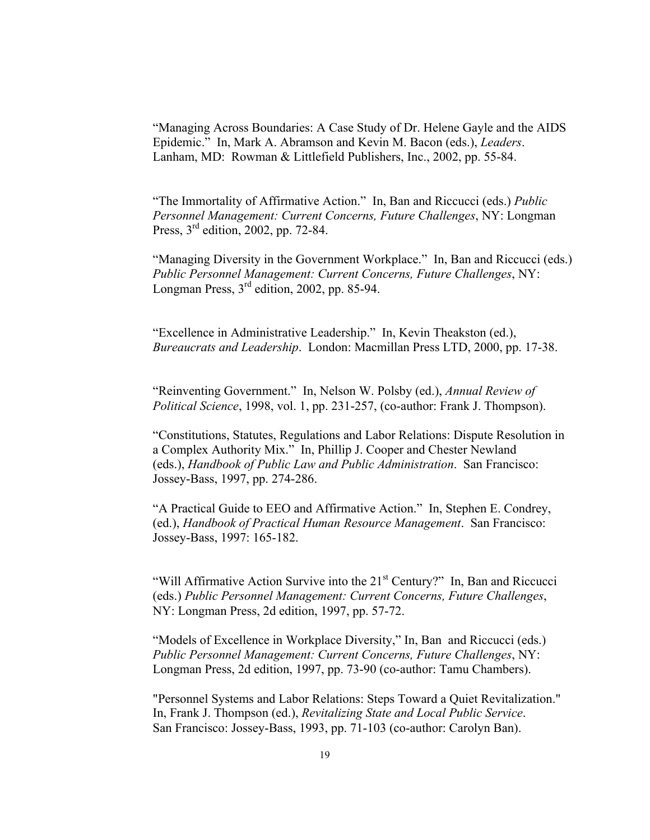"Managing Across Boundaries: A Case Study of Dr. Helene Gayle and the AIDS Epidemic." In, Mark A. Abramson and Kevin M. Bacon (eds.), *Leaders*. Lanham, MD: Rowman & Littlefield Publishers, Inc., 2002, pp. 55-84.

"The Immortality of Affirmative Action." In, Ban and Riccucci (eds.) *Public Personnel Management: Current Concerns, Future Challenges*, NY: Longman Press, 3rd edition, 2002, pp. 72-84.

"Managing Diversity in the Government Workplace." In, Ban and Riccucci (eds.) *Public Personnel Management: Current Concerns, Future Challenges*, NY: Longman Press, 3rd edition, 2002, pp. 85-94.

"Excellence in Administrative Leadership." In, Kevin Theakston (ed.), *Bureaucrats and Leadership*. London: Macmillan Press LTD, 2000, pp. 17-38.

"Reinventing Government." In, Nelson W. Polsby (ed.), *Annual Review of Political Science*, 1998, vol. 1, pp. 231-257, (co-author: Frank J. Thompson).

"Constitutions, Statutes, Regulations and Labor Relations: Dispute Resolution in a Complex Authority Mix." In, Phillip J. Cooper and Chester Newland (eds.), *Handbook of Public Law and Public Administration*. San Francisco: Jossey-Bass, 1997, pp. 274-286.

"A Practical Guide to EEO and Affirmative Action." In, Stephen E. Condrey, (ed.), *Handbook of Practical Human Resource Management*. San Francisco: Jossey-Bass, 1997: 165-182.

"Will Affirmative Action Survive into the  $21<sup>st</sup>$  Century?" In, Ban and Riccucci (eds.) *Public Personnel Management: Current Concerns, Future Challenges*, NY: Longman Press, 2d edition, 1997, pp. 57-72.

"Models of Excellence in Workplace Diversity," In, Ban and Riccucci (eds.) *Public Personnel Management: Current Concerns, Future Challenges*, NY: Longman Press, 2d edition, 1997, pp. 73-90 (co-author: Tamu Chambers).

"Personnel Systems and Labor Relations: Steps Toward a Quiet Revitalization." In, Frank J. Thompson (ed.), *Revitalizing State and Local Public Service*. San Francisco: Jossey-Bass, 1993, pp. 71-103 (co-author: Carolyn Ban).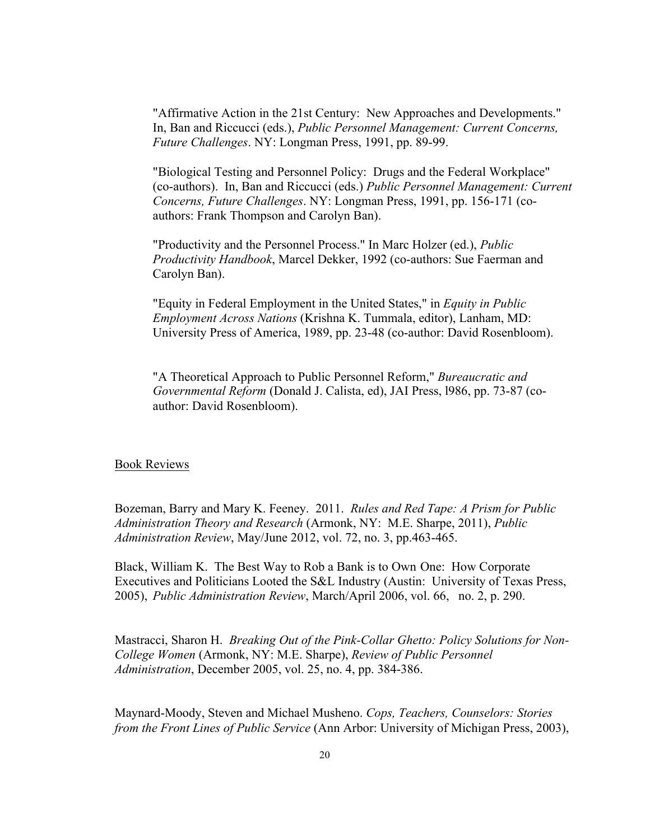"Affirmative Action in the 21st Century: New Approaches and Developments." In, Ban and Riccucci (eds.), *Public Personnel Management: Current Concerns, Future Challenges*. NY: Longman Press, 1991, pp. 89-99.

"Biological Testing and Personnel Policy: Drugs and the Federal Workplace" (co-authors). In, Ban and Riccucci (eds.) *Public Personnel Management: Current Concerns, Future Challenges*. NY: Longman Press, 1991, pp. 156-171 (coauthors: Frank Thompson and Carolyn Ban).

"Productivity and the Personnel Process." In Marc Holzer (ed.), *Public Productivity Handbook*, Marcel Dekker, 1992 (co-authors: Sue Faerman and Carolyn Ban).

"Equity in Federal Employment in the United States," in *Equity in Public Employment Across Nations* (Krishna K. Tummala, editor), Lanham, MD: University Press of America, 1989, pp. 23-48 (co-author: David Rosenbloom).

"A Theoretical Approach to Public Personnel Reform," *Bureaucratic and Governmental Reform* (Donald J. Calista, ed), JAI Press, l986, pp. 73-87 (coauthor: David Rosenbloom).

#### Book Reviews

Bozeman, Barry and Mary K. Feeney. 2011. *Rules and Red Tape: A Prism for Public Administration Theory and Research* (Armonk, NY: M.E. Sharpe, 2011), *Public Administration Review*, May/June 2012, vol. 72, no. 3, pp.463-465.

Black, William K. The Best Way to Rob a Bank is to Own One: How Corporate Executives and Politicians Looted the S&L Industry (Austin: University of Texas Press, 2005), *Public Administration Review*, March/April 2006, vol. 66, no. 2, p. 290.

Mastracci, Sharon H. *Breaking Out of the Pink-Collar Ghetto: Policy Solutions for Non-College Women* (Armonk, NY: M.E. Sharpe), *Review of Public Personnel Administration*, December 2005, vol. 25, no. 4, pp. 384-386.

Maynard-Moody, Steven and Michael Musheno. *Cops, Teachers, Counselors: Stories from the Front Lines of Public Service* (Ann Arbor: University of Michigan Press, 2003),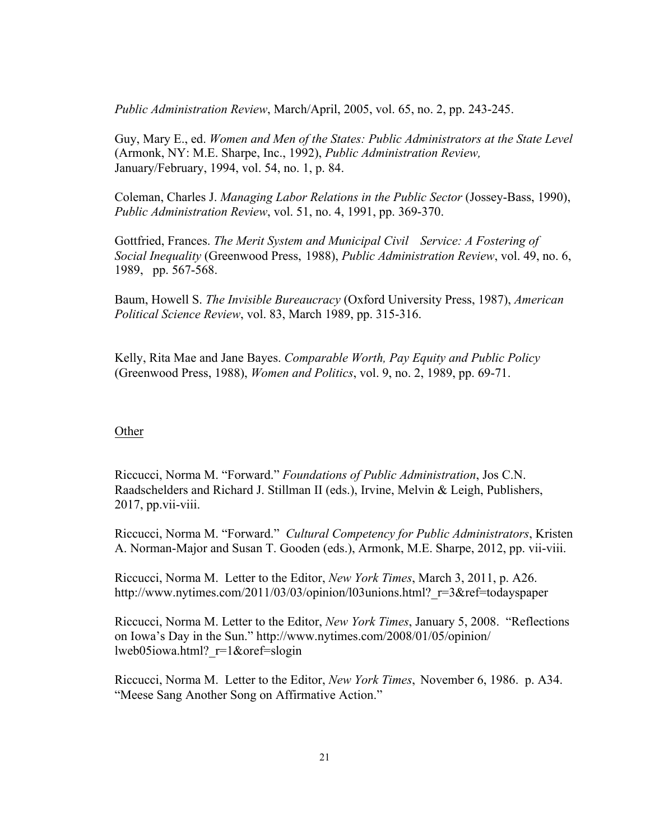*Public Administration Review*, March/April, 2005, vol. 65, no. 2, pp. 243-245.

Guy, Mary E., ed. *Women and Men of the States: Public Administrators at the State Level* (Armonk, NY: M.E. Sharpe, Inc., 1992), *Public Administration Review,*  January/February, 1994, vol. 54, no. 1, p. 84.

Coleman, Charles J. *Managing Labor Relations in the Public Sector* (Jossey-Bass, 1990), *Public Administration Review*, vol. 51, no. 4, 1991, pp. 369-370.

Gottfried, Frances. *The Merit System and Municipal Civil Service: A Fostering of Social Inequality* (Greenwood Press, 1988), *Public Administration Review*, vol. 49, no. 6, 1989, pp. 567-568.

Baum, Howell S. *The Invisible Bureaucracy* (Oxford University Press, 1987), *American Political Science Review*, vol. 83, March 1989, pp. 315-316.

Kelly, Rita Mae and Jane Bayes. *Comparable Worth, Pay Equity and Public Policy* (Greenwood Press, 1988), *Women and Politics*, vol. 9, no. 2, 1989, pp. 69-71.

#### **Other**

Riccucci, Norma M. "Forward." *Foundations of Public Administration*, Jos C.N. Raadschelders and Richard J. Stillman II (eds.), Irvine, Melvin & Leigh, Publishers, 2017, pp.vii-viii.

Riccucci, Norma M. "Forward." *Cultural Competency for Public Administrators*, Kristen A. Norman-Major and Susan T. Gooden (eds.), Armonk, M.E. Sharpe, 2012, pp. vii-viii.

Riccucci, Norma M. Letter to the Editor, *New York Times*, March 3, 2011, p. A26. http://www.nytimes.com/2011/03/03/opinion/l03unions.html? r=3&ref=todayspaper

Riccucci, Norma M. Letter to the Editor, *New York Times*, January 5, 2008. "Reflections on Iowa's Day in the Sun." http://www.nytimes.com/2008/01/05/opinion/ lweb05iowa.html?\_r=1&oref=slogin

Riccucci, Norma M. Letter to the Editor, *New York Times*, November 6, 1986. p. A34. "Meese Sang Another Song on Affirmative Action."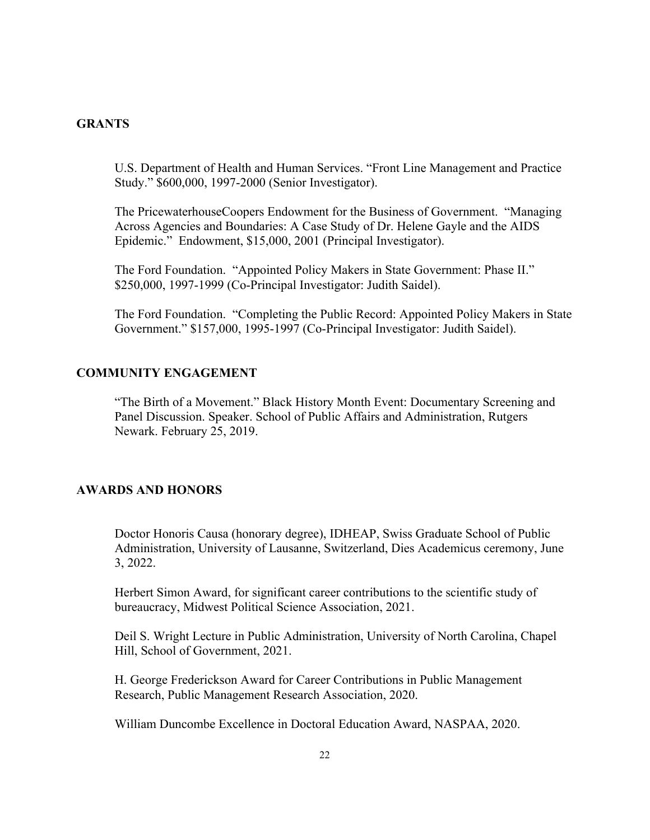## **GRANTS**

U.S. Department of Health and Human Services. "Front Line Management and Practice Study." \$600,000, 1997-2000 (Senior Investigator).

The PricewaterhouseCoopers Endowment for the Business of Government. "Managing Across Agencies and Boundaries: A Case Study of Dr. Helene Gayle and the AIDS Epidemic." Endowment, \$15,000, 2001 (Principal Investigator).

The Ford Foundation. "Appointed Policy Makers in State Government: Phase II." \$250,000, 1997-1999 (Co-Principal Investigator: Judith Saidel).

The Ford Foundation. "Completing the Public Record: Appointed Policy Makers in State Government." \$157,000, 1995-1997 (Co-Principal Investigator: Judith Saidel).

### **COMMUNITY ENGAGEMENT**

"The Birth of a Movement." Black History Month Event: Documentary Screening and Panel Discussion. Speaker. School of Public Affairs and Administration, Rutgers Newark. February 25, 2019.

# **AWARDS AND HONORS**

Doctor Honoris Causa (honorary degree), IDHEAP, Swiss Graduate School of Public Administration, University of Lausanne, Switzerland, Dies Academicus ceremony, June 3, 2022.

Herbert Simon Award, for significant career contributions to the scientific study of bureaucracy, Midwest Political Science Association, 2021.

Deil S. Wright Lecture in Public Administration, University of North Carolina, Chapel Hill, School of Government, 2021.

H. George Frederickson Award for Career Contributions in Public Management Research, Public Management Research Association, 2020.

William Duncombe Excellence in Doctoral Education Award, NASPAA, 2020.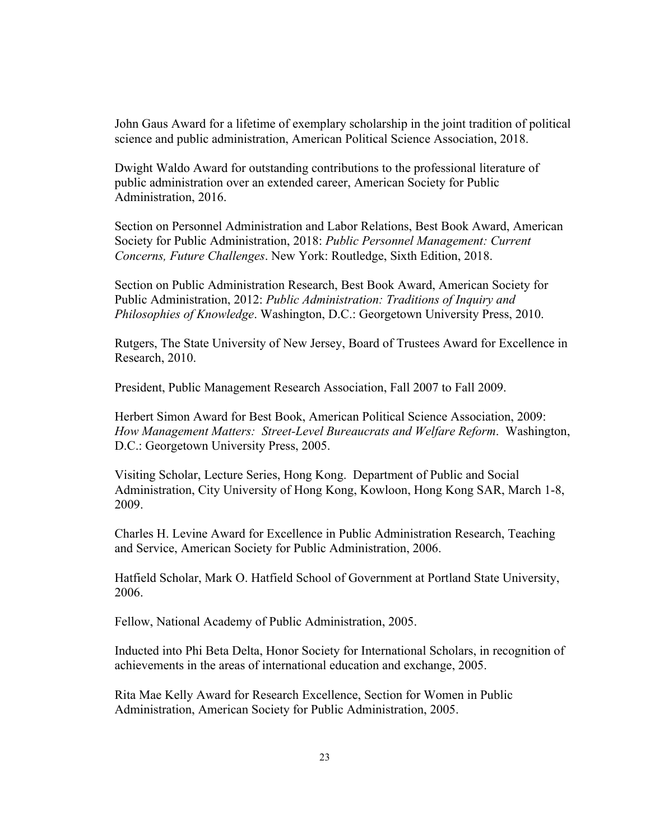John Gaus Award for a lifetime of exemplary scholarship in the joint tradition of political science and public administration, American Political Science Association, 2018.

Dwight Waldo Award for outstanding contributions to the professional literature of public administration over an extended career, American Society for Public Administration, 2016.

Section on Personnel Administration and Labor Relations, Best Book Award, American Society for Public Administration, 2018: *Public Personnel Management: Current Concerns, Future Challenges*. New York: Routledge, Sixth Edition, 2018.

Section on Public Administration Research, Best Book Award, American Society for Public Administration, 2012: *Public Administration: Traditions of Inquiry and Philosophies of Knowledge*. Washington, D.C.: Georgetown University Press, 2010.

Rutgers, The State University of New Jersey, Board of Trustees Award for Excellence in Research, 2010.

President, Public Management Research Association, Fall 2007 to Fall 2009.

Herbert Simon Award for Best Book, American Political Science Association, 2009: *How Management Matters: Street-Level Bureaucrats and Welfare Reform*. Washington, D.C.: Georgetown University Press, 2005.

Visiting Scholar, Lecture Series, Hong Kong. Department of Public and Social Administration, City University of Hong Kong, Kowloon, Hong Kong SAR, March 1-8, 2009.

Charles H. Levine Award for Excellence in Public Administration Research, Teaching and Service, American Society for Public Administration, 2006.

Hatfield Scholar, Mark O. Hatfield School of Government at Portland State University, 2006.

Fellow, National Academy of Public Administration, 2005.

Inducted into Phi Beta Delta, Honor Society for International Scholars, in recognition of achievements in the areas of international education and exchange, 2005.

Rita Mae Kelly Award for Research Excellence, Section for Women in Public Administration, American Society for Public Administration, 2005.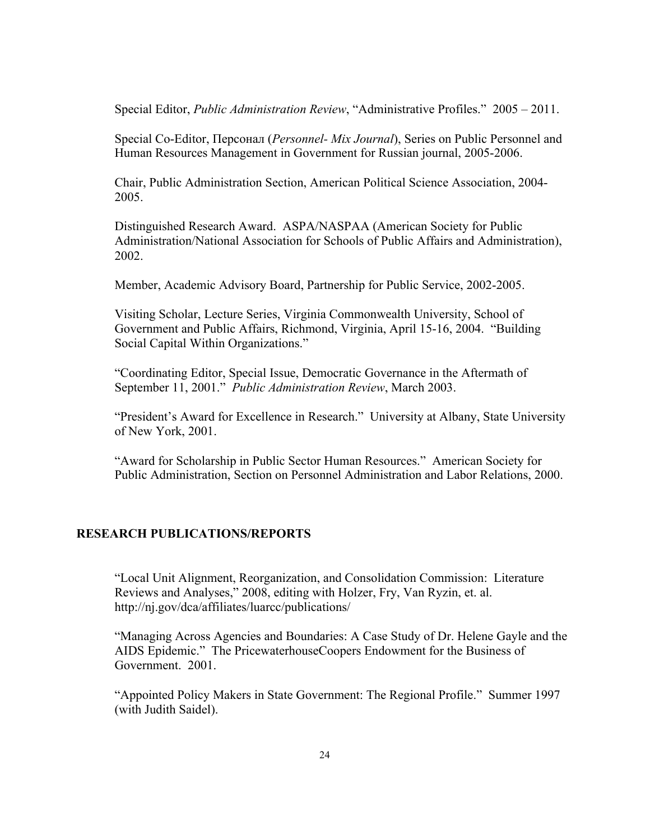Special Editor, *Public Administration Review*, "Administrative Profiles." 2005 – 2011.

Special Co-Editor, Персонал (*Personnel- Mix Journal*), Series on Public Personnel and Human Resources Management in Government for Russian journal, 2005-2006.

Chair, Public Administration Section, American Political Science Association, 2004- 2005.

Distinguished Research Award. ASPA/NASPAA (American Society for Public Administration/National Association for Schools of Public Affairs and Administration), 2002.

Member, Academic Advisory Board, Partnership for Public Service, 2002-2005.

Visiting Scholar, Lecture Series, Virginia Commonwealth University, School of Government and Public Affairs, Richmond, Virginia, April 15-16, 2004. "Building Social Capital Within Organizations."

"Coordinating Editor, Special Issue, Democratic Governance in the Aftermath of September 11, 2001." *Public Administration Review*, March 2003.

"President's Award for Excellence in Research." University at Albany, State University of New York, 2001.

"Award for Scholarship in Public Sector Human Resources." American Society for Public Administration, Section on Personnel Administration and Labor Relations, 2000.

## **RESEARCH PUBLICATIONS/REPORTS**

"Local Unit Alignment, Reorganization, and Consolidation Commission: Literature Reviews and Analyses," 2008, editing with Holzer, Fry, Van Ryzin, et. al. http://nj.gov/dca/affiliates/luarcc/publications/

"Managing Across Agencies and Boundaries: A Case Study of Dr. Helene Gayle and the AIDS Epidemic." The PricewaterhouseCoopers Endowment for the Business of Government. 2001.

"Appointed Policy Makers in State Government: The Regional Profile." Summer 1997 (with Judith Saidel).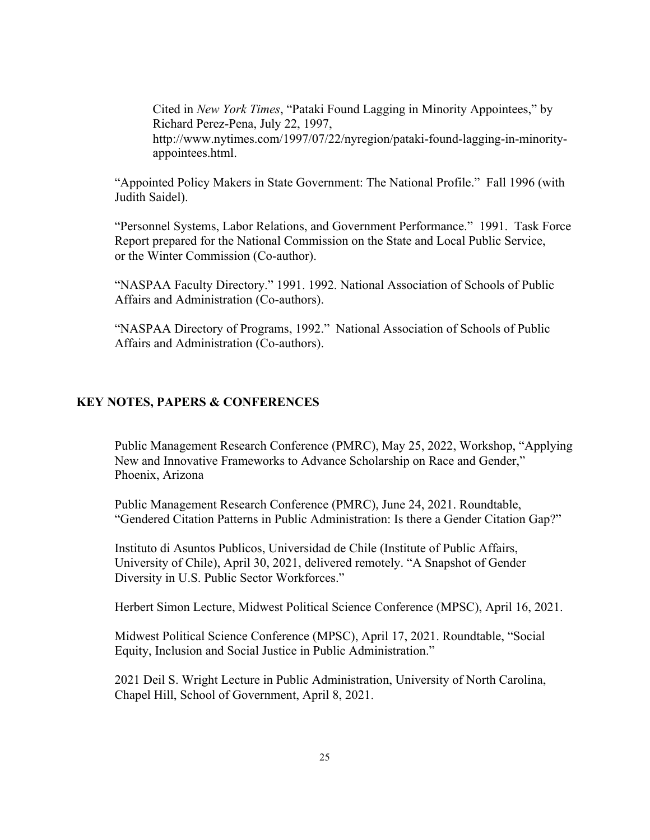Cited in *New York Times*, "Pataki Found Lagging in Minority Appointees," by Richard Perez-Pena, July 22, 1997, http://www.nytimes.com/1997/07/22/nyregion/pataki-found-lagging-in-minorityappointees.html.

"Appointed Policy Makers in State Government: The National Profile." Fall 1996 (with Judith Saidel).

"Personnel Systems, Labor Relations, and Government Performance." 1991. Task Force Report prepared for the National Commission on the State and Local Public Service, or the Winter Commission (Co-author).

"NASPAA Faculty Directory." 1991. 1992. National Association of Schools of Public Affairs and Administration (Co-authors).

"NASPAA Directory of Programs, 1992." National Association of Schools of Public Affairs and Administration (Co-authors).

# **KEY NOTES, PAPERS & CONFERENCES**

Public Management Research Conference (PMRC), May 25, 2022, Workshop, "Applying New and Innovative Frameworks to Advance Scholarship on Race and Gender," Phoenix, Arizona

Public Management Research Conference (PMRC), June 24, 2021. Roundtable, "Gendered Citation Patterns in Public Administration: Is there a Gender Citation Gap?"

Instituto di Asuntos Publicos, Universidad de Chile (Institute of Public Affairs, University of Chile), April 30, 2021, delivered remotely. "A Snapshot of Gender Diversity in U.S. Public Sector Workforces."

Herbert Simon Lecture, Midwest Political Science Conference (MPSC), April 16, 2021.

Midwest Political Science Conference (MPSC), April 17, 2021. Roundtable, "Social Equity, Inclusion and Social Justice in Public Administration."

2021 Deil S. Wright Lecture in Public Administration, University of North Carolina, Chapel Hill, School of Government, April 8, 2021.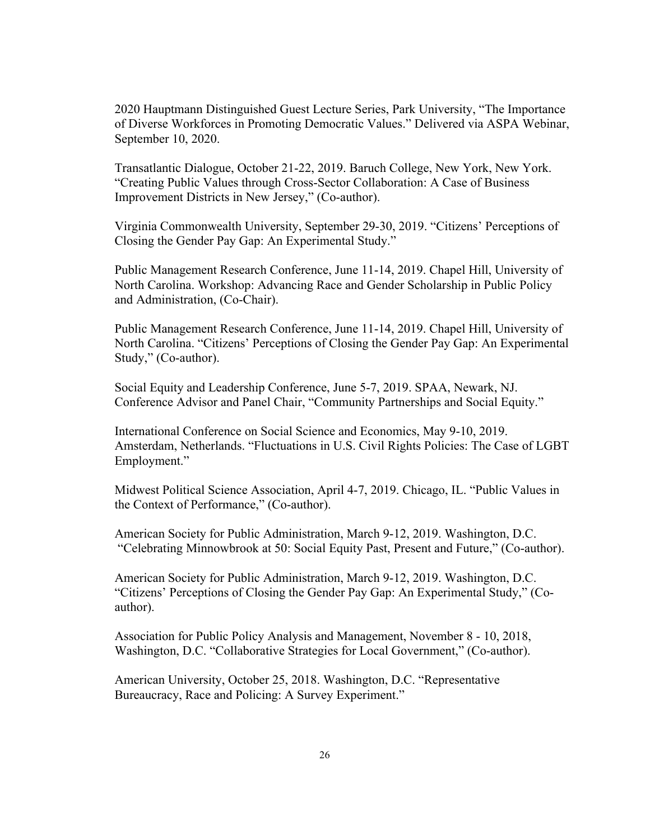2020 Hauptmann Distinguished Guest Lecture Series, Park University, "The Importance of Diverse Workforces in Promoting Democratic Values." Delivered via ASPA Webinar, September 10, 2020.

Transatlantic Dialogue, October 21-22, 2019. Baruch College, New York, New York. "Creating Public Values through Cross-Sector Collaboration: A Case of Business Improvement Districts in New Jersey," (Co-author).

Virginia Commonwealth University, September 29-30, 2019. "Citizens' Perceptions of Closing the Gender Pay Gap: An Experimental Study."

Public Management Research Conference, June 11-14, 2019. Chapel Hill, University of North Carolina. Workshop: Advancing Race and Gender Scholarship in Public Policy and Administration, (Co-Chair).

Public Management Research Conference, June 11-14, 2019. Chapel Hill, University of North Carolina. "Citizens' Perceptions of Closing the Gender Pay Gap: An Experimental Study," (Co-author).

Social Equity and Leadership Conference, June 5-7, 2019. SPAA, Newark, NJ. Conference Advisor and Panel Chair, "Community Partnerships and Social Equity."

International Conference on Social Science and Economics, May 9-10, 2019. Amsterdam, Netherlands. "Fluctuations in U.S. Civil Rights Policies: The Case of LGBT Employment."

Midwest Political Science Association, April 4-7, 2019. Chicago, IL. "Public Values in the Context of Performance," (Co-author).

American Society for Public Administration, March 9-12, 2019. Washington, D.C. "Celebrating Minnowbrook at 50: Social Equity Past, Present and Future," (Co-author).

American Society for Public Administration, March 9-12, 2019. Washington, D.C. "Citizens' Perceptions of Closing the Gender Pay Gap: An Experimental Study," (Coauthor).

Association for Public Policy Analysis and Management, November 8 - 10, 2018, Washington, D.C. "Collaborative Strategies for Local Government," (Co-author).

American University, October 25, 2018. Washington, D.C. "Representative Bureaucracy, Race and Policing: A Survey Experiment."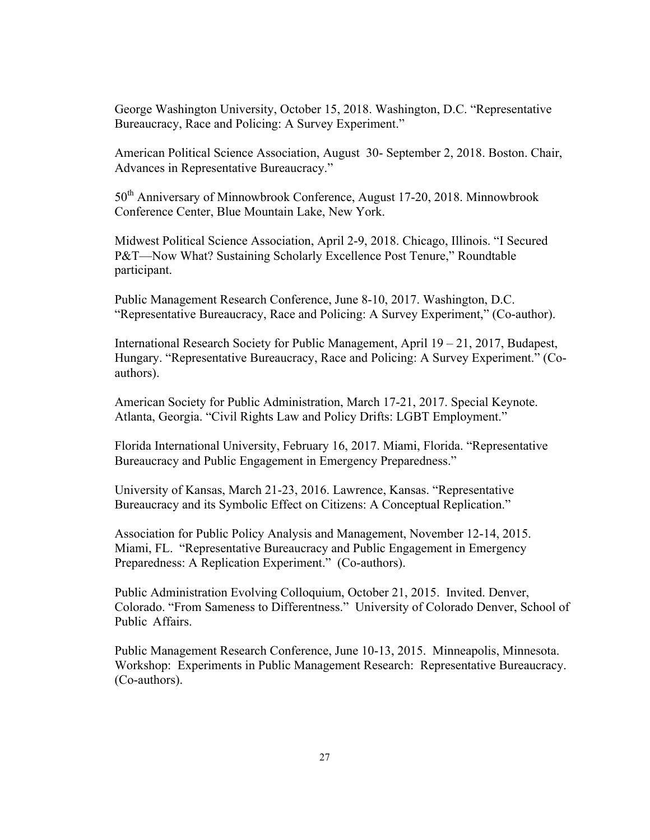George Washington University, October 15, 2018. Washington, D.C. "Representative Bureaucracy, Race and Policing: A Survey Experiment."

American Political Science Association, August 30- September 2, 2018. Boston. Chair, Advances in Representative Bureaucracy."

50<sup>th</sup> Anniversary of Minnowbrook Conference, August 17-20, 2018. Minnowbrook Conference Center, Blue Mountain Lake, New York.

Midwest Political Science Association, April 2-9, 2018. Chicago, Illinois. "I Secured P&T—Now What? Sustaining Scholarly Excellence Post Tenure," Roundtable participant.

Public Management Research Conference, June 8-10, 2017. Washington, D.C. "Representative Bureaucracy, Race and Policing: A Survey Experiment," (Co-author).

International Research Society for Public Management, April 19 – 21, 2017, Budapest, Hungary. "Representative Bureaucracy, Race and Policing: A Survey Experiment." (Coauthors).

American Society for Public Administration, March 17-21, 2017. Special Keynote. Atlanta, Georgia. "Civil Rights Law and Policy Drifts: LGBT Employment."

Florida International University, February 16, 2017. Miami, Florida. "Representative Bureaucracy and Public Engagement in Emergency Preparedness."

University of Kansas, March 21-23, 2016. Lawrence, Kansas. "Representative Bureaucracy and its Symbolic Effect on Citizens: A Conceptual Replication."

Association for Public Policy Analysis and Management, November 12-14, 2015. Miami, FL. "Representative Bureaucracy and Public Engagement in Emergency Preparedness: A Replication Experiment." (Co-authors).

Public Administration Evolving Colloquium, October 21, 2015. Invited. Denver, Colorado. "From Sameness to Differentness." University of Colorado Denver, School of Public Affairs.

Public Management Research Conference, June 10-13, 2015. Minneapolis, Minnesota. Workshop: Experiments in Public Management Research: Representative Bureaucracy. (Co-authors).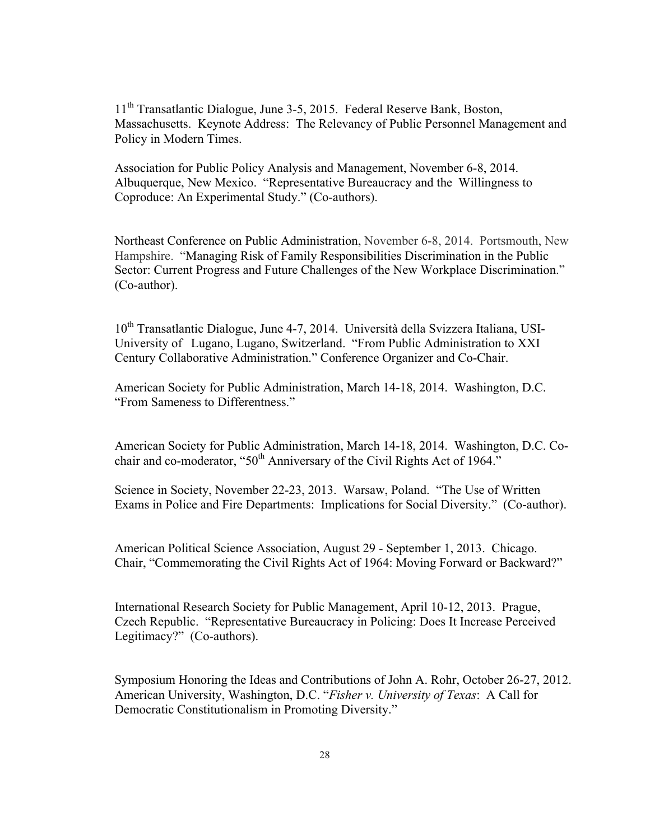11<sup>th</sup> Transatlantic Dialogue, June 3-5, 2015. Federal Reserve Bank, Boston, Massachusetts. Keynote Address: The Relevancy of Public Personnel Management and Policy in Modern Times.

Association for Public Policy Analysis and Management, November 6-8, 2014. Albuquerque, New Mexico. "Representative Bureaucracy and the Willingness to Coproduce: An Experimental Study." (Co-authors).

Northeast Conference on Public Administration, November 6-8, 2014. Portsmouth, New Hampshire. "Managing Risk of Family Responsibilities Discrimination in the Public Sector: Current Progress and Future Challenges of the New Workplace Discrimination." (Co-author).

10<sup>th</sup> Transatlantic Dialogue, June 4-7, 2014. Università della Svizzera Italiana, USI-University of Lugano, Lugano, Switzerland. "From Public Administration to XXI Century Collaborative Administration." Conference Organizer and Co-Chair.

American Society for Public Administration, March 14-18, 2014. Washington, D.C. "From Sameness to Differentness."

American Society for Public Administration, March 14-18, 2014. Washington, D.C. Cochair and co-moderator, "50<sup>th</sup> Anniversary of the Civil Rights Act of 1964."

Science in Society, November 22-23, 2013. Warsaw, Poland. "The Use of Written Exams in Police and Fire Departments: Implications for Social Diversity." (Co-author).

American Political Science Association, August 29 - September 1, 2013. Chicago. Chair, "Commemorating the Civil Rights Act of 1964: Moving Forward or Backward?"

International Research Society for Public Management, April 10-12, 2013. Prague, Czech Republic. "Representative Bureaucracy in Policing: Does It Increase Perceived Legitimacy?" (Co-authors).

Symposium Honoring the Ideas and Contributions of John A. Rohr, October 26-27, 2012. American University, Washington, D.C. "*Fisher v. University of Texas*: A Call for Democratic Constitutionalism in Promoting Diversity."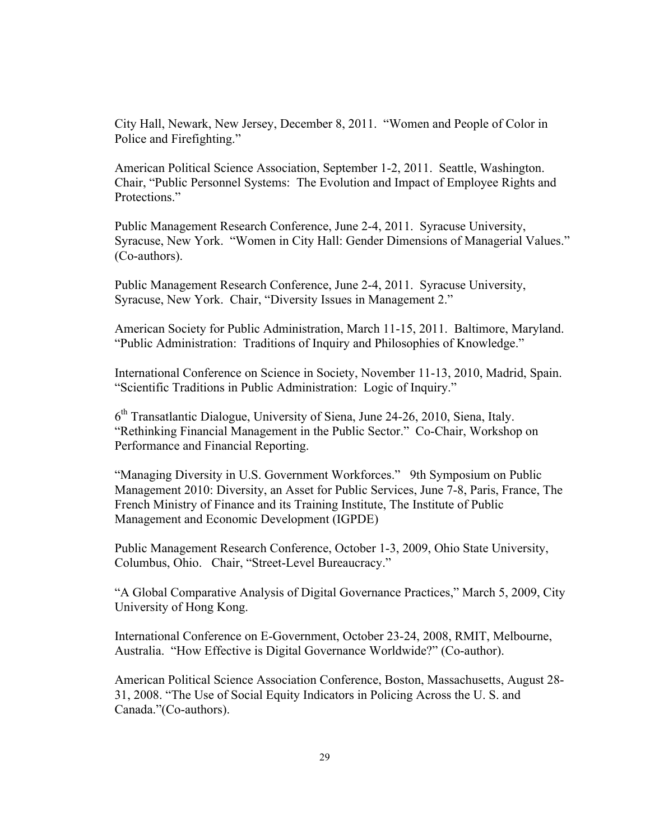City Hall, Newark, New Jersey, December 8, 2011. "Women and People of Color in Police and Firefighting."

American Political Science Association, September 1-2, 2011. Seattle, Washington. Chair, "Public Personnel Systems: The Evolution and Impact of Employee Rights and Protections."

Public Management Research Conference, June 2-4, 2011. Syracuse University, Syracuse, New York. "Women in City Hall: Gender Dimensions of Managerial Values." (Co-authors).

Public Management Research Conference, June 2-4, 2011. Syracuse University, Syracuse, New York. Chair, "Diversity Issues in Management 2."

American Society for Public Administration, March 11-15, 2011. Baltimore, Maryland. "Public Administration: Traditions of Inquiry and Philosophies of Knowledge."

International Conference on Science in Society, November 11-13, 2010, Madrid, Spain. "Scientific Traditions in Public Administration: Logic of Inquiry."

 $6<sup>th</sup>$  Transatlantic Dialogue, University of Siena, June 24-26, 2010, Siena, Italy. "Rethinking Financial Management in the Public Sector." Co-Chair, Workshop on Performance and Financial Reporting.

"Managing Diversity in U.S. Government Workforces." 9th Symposium on Public Management 2010: Diversity, an Asset for Public Services, June 7-8, Paris, France, The French Ministry of Finance and its Training Institute, The Institute of Public Management and Economic Development (IGPDE)

Public Management Research Conference, October 1-3, 2009, Ohio State University, Columbus, Ohio. Chair, "Street-Level Bureaucracy."

"A Global Comparative Analysis of Digital Governance Practices," March 5, 2009, City University of Hong Kong.

International Conference on E-Government, October 23-24, 2008, RMIT, Melbourne, Australia. "How Effective is Digital Governance Worldwide?" (Co-author).

American Political Science Association Conference, Boston, Massachusetts, August 28- 31, 2008. "The Use of Social Equity Indicators in Policing Across the U. S. and Canada."(Co-authors).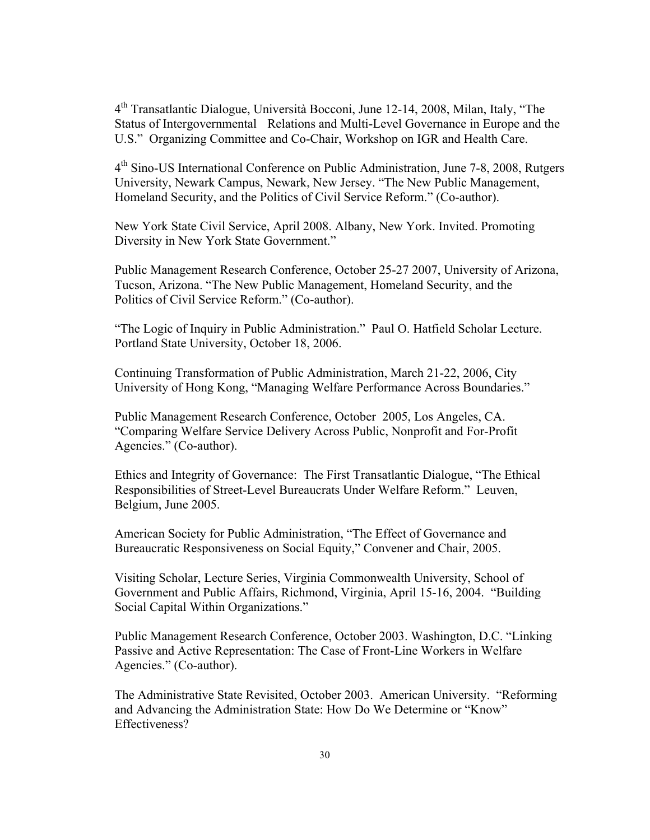4th Transatlantic Dialogue, Università Bocconi, June 12-14, 2008, Milan, Italy, "The Status of Intergovernmental Relations and Multi-Level Governance in Europe and the U.S." Organizing Committee and Co-Chair, Workshop on IGR and Health Care.

4th Sino-US International Conference on Public Administration, June 7-8, 2008, Rutgers University, Newark Campus, Newark, New Jersey. "The New Public Management, Homeland Security, and the Politics of Civil Service Reform." (Co-author).

New York State Civil Service, April 2008. Albany, New York. Invited. Promoting Diversity in New York State Government."

Public Management Research Conference, October 25-27 2007, University of Arizona, Tucson, Arizona. "The New Public Management, Homeland Security, and the Politics of Civil Service Reform." (Co-author).

"The Logic of Inquiry in Public Administration." Paul O. Hatfield Scholar Lecture. Portland State University, October 18, 2006.

Continuing Transformation of Public Administration, March 21-22, 2006, City University of Hong Kong, "Managing Welfare Performance Across Boundaries."

Public Management Research Conference, October 2005, Los Angeles, CA. "Comparing Welfare Service Delivery Across Public, Nonprofit and For-Profit Agencies." (Co-author).

Ethics and Integrity of Governance: The First Transatlantic Dialogue, "The Ethical Responsibilities of Street-Level Bureaucrats Under Welfare Reform." Leuven, Belgium, June 2005.

American Society for Public Administration, "The Effect of Governance and Bureaucratic Responsiveness on Social Equity," Convener and Chair, 2005.

Visiting Scholar, Lecture Series, Virginia Commonwealth University, School of Government and Public Affairs, Richmond, Virginia, April 15-16, 2004. "Building Social Capital Within Organizations."

Public Management Research Conference, October 2003. Washington, D.C. "Linking Passive and Active Representation: The Case of Front-Line Workers in Welfare Agencies." (Co-author).

The Administrative State Revisited, October 2003. American University. "Reforming and Advancing the Administration State: How Do We Determine or "Know" Effectiveness?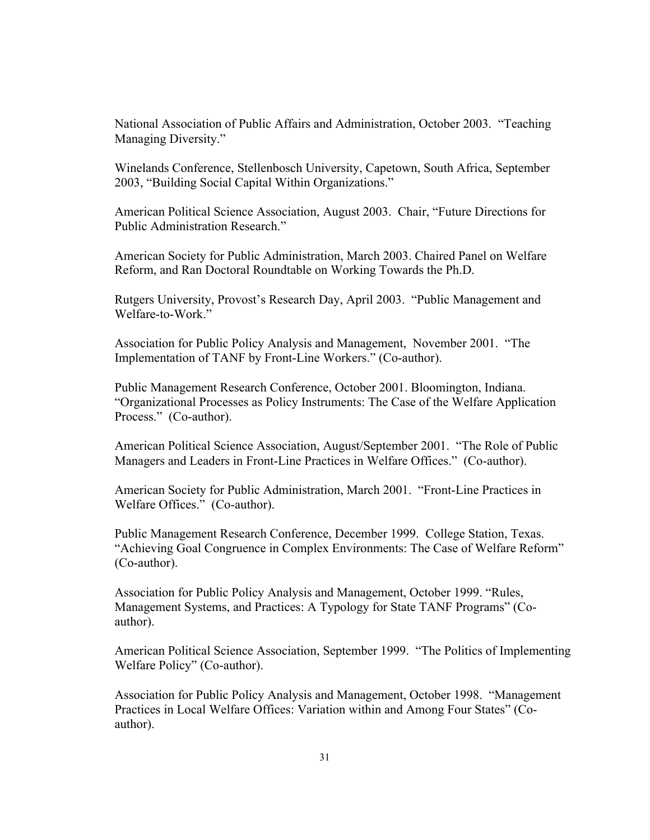National Association of Public Affairs and Administration, October 2003. "Teaching Managing Diversity."

Winelands Conference, Stellenbosch University, Capetown, South Africa, September 2003, "Building Social Capital Within Organizations."

American Political Science Association, August 2003. Chair, "Future Directions for Public Administration Research."

American Society for Public Administration, March 2003. Chaired Panel on Welfare Reform, and Ran Doctoral Roundtable on Working Towards the Ph.D.

Rutgers University, Provost's Research Day, April 2003. "Public Management and Welfare-to-Work."

Association for Public Policy Analysis and Management, November 2001. "The Implementation of TANF by Front-Line Workers." (Co-author).

Public Management Research Conference, October 2001. Bloomington, Indiana. "Organizational Processes as Policy Instruments: The Case of the Welfare Application Process." (Co-author).

American Political Science Association, August/September 2001. "The Role of Public Managers and Leaders in Front-Line Practices in Welfare Offices." (Co-author).

American Society for Public Administration, March 2001. "Front-Line Practices in Welfare Offices." (Co-author).

Public Management Research Conference, December 1999. College Station, Texas. "Achieving Goal Congruence in Complex Environments: The Case of Welfare Reform" (Co-author).

Association for Public Policy Analysis and Management, October 1999. "Rules, Management Systems, and Practices: A Typology for State TANF Programs" (Coauthor).

American Political Science Association, September 1999. "The Politics of Implementing Welfare Policy" (Co-author).

Association for Public Policy Analysis and Management, October 1998. "Management Practices in Local Welfare Offices: Variation within and Among Four States" (Coauthor).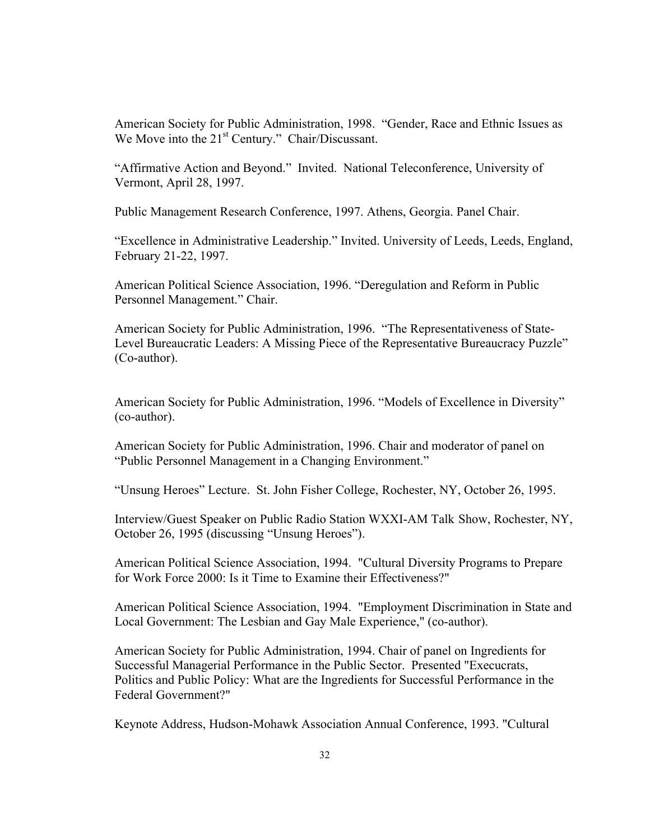American Society for Public Administration, 1998. "Gender, Race and Ethnic Issues as We Move into the  $21<sup>st</sup>$  Century." Chair/Discussant.

"Affirmative Action and Beyond." Invited. National Teleconference, University of Vermont, April 28, 1997.

Public Management Research Conference, 1997. Athens, Georgia. Panel Chair.

"Excellence in Administrative Leadership." Invited. University of Leeds, Leeds, England, February 21-22, 1997.

American Political Science Association, 1996. "Deregulation and Reform in Public Personnel Management." Chair.

American Society for Public Administration, 1996. "The Representativeness of State-Level Bureaucratic Leaders: A Missing Piece of the Representative Bureaucracy Puzzle" (Co-author).

American Society for Public Administration, 1996. "Models of Excellence in Diversity" (co-author).

American Society for Public Administration, 1996. Chair and moderator of panel on "Public Personnel Management in a Changing Environment."

"Unsung Heroes" Lecture. St. John Fisher College, Rochester, NY, October 26, 1995.

Interview/Guest Speaker on Public Radio Station WXXI-AM Talk Show, Rochester, NY, October 26, 1995 (discussing "Unsung Heroes").

American Political Science Association, 1994. "Cultural Diversity Programs to Prepare for Work Force 2000: Is it Time to Examine their Effectiveness?"

American Political Science Association, 1994. "Employment Discrimination in State and Local Government: The Lesbian and Gay Male Experience," (co-author).

American Society for Public Administration, 1994. Chair of panel on Ingredients for Successful Managerial Performance in the Public Sector. Presented "Execucrats, Politics and Public Policy: What are the Ingredients for Successful Performance in the Federal Government?"

Keynote Address, Hudson-Mohawk Association Annual Conference, 1993. "Cultural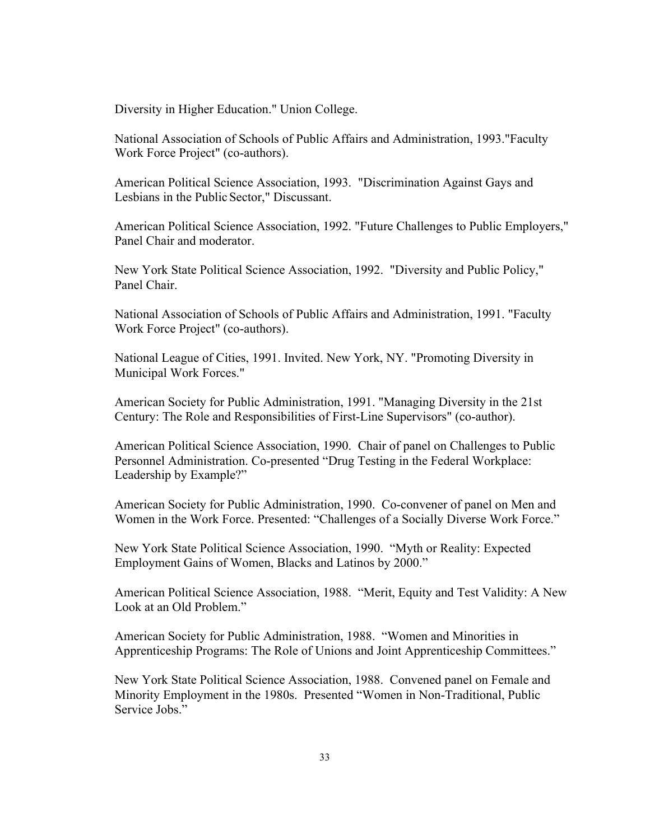Diversity in Higher Education." Union College.

National Association of Schools of Public Affairs and Administration, 1993."Faculty Work Force Project" (co-authors).

American Political Science Association, 1993. "Discrimination Against Gays and Lesbians in the Public Sector," Discussant.

American Political Science Association, 1992. "Future Challenges to Public Employers," Panel Chair and moderator.

New York State Political Science Association, 1992. "Diversity and Public Policy," Panel Chair.

National Association of Schools of Public Affairs and Administration, 1991. "Faculty Work Force Project" (co-authors).

National League of Cities, 1991. Invited. New York, NY. "Promoting Diversity in Municipal Work Forces."

American Society for Public Administration, 1991. "Managing Diversity in the 21st Century: The Role and Responsibilities of First-Line Supervisors" (co-author).

American Political Science Association, 1990. Chair of panel on Challenges to Public Personnel Administration. Co-presented "Drug Testing in the Federal Workplace: Leadership by Example?"

American Society for Public Administration, 1990. Co-convener of panel on Men and Women in the Work Force. Presented: "Challenges of a Socially Diverse Work Force."

New York State Political Science Association, 1990. "Myth or Reality: Expected Employment Gains of Women, Blacks and Latinos by 2000."

American Political Science Association, 1988. "Merit, Equity and Test Validity: A New Look at an Old Problem."

American Society for Public Administration, 1988. "Women and Minorities in Apprenticeship Programs: The Role of Unions and Joint Apprenticeship Committees."

New York State Political Science Association, 1988. Convened panel on Female and Minority Employment in the 1980s. Presented "Women in Non-Traditional, Public Service Jobs<sup>"</sup>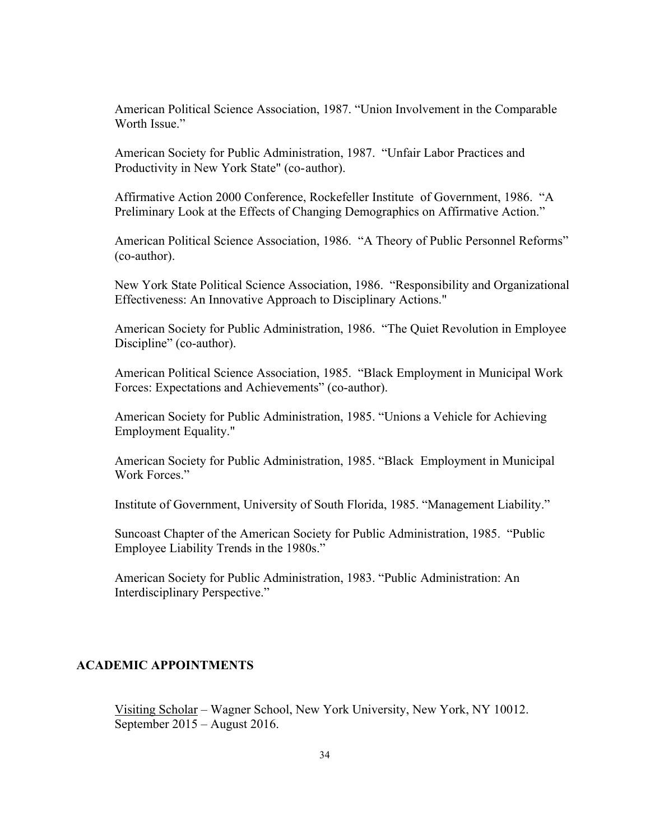American Political Science Association, 1987. "Union Involvement in the Comparable Worth Issue."

American Society for Public Administration, 1987. "Unfair Labor Practices and Productivity in New York State" (co-author).

Affirmative Action 2000 Conference, Rockefeller Institute of Government, 1986. "A Preliminary Look at the Effects of Changing Demographics on Affirmative Action."

American Political Science Association, 1986. "A Theory of Public Personnel Reforms" (co-author).

New York State Political Science Association, 1986. "Responsibility and Organizational Effectiveness: An Innovative Approach to Disciplinary Actions."

American Society for Public Administration, 1986. "The Quiet Revolution in Employee Discipline" (co-author).

American Political Science Association, 1985. "Black Employment in Municipal Work Forces: Expectations and Achievements" (co-author).

American Society for Public Administration, 1985. "Unions a Vehicle for Achieving Employment Equality."

American Society for Public Administration, 1985. "Black Employment in Municipal Work Forces."

Institute of Government, University of South Florida, 1985. "Management Liability."

Suncoast Chapter of the American Society for Public Administration, 1985. "Public Employee Liability Trends in the 1980s."

American Society for Public Administration, 1983. "Public Administration: An Interdisciplinary Perspective."

## **ACADEMIC APPOINTMENTS**

Visiting Scholar – Wagner School, New York University, New York, NY 10012. September 2015 – August 2016.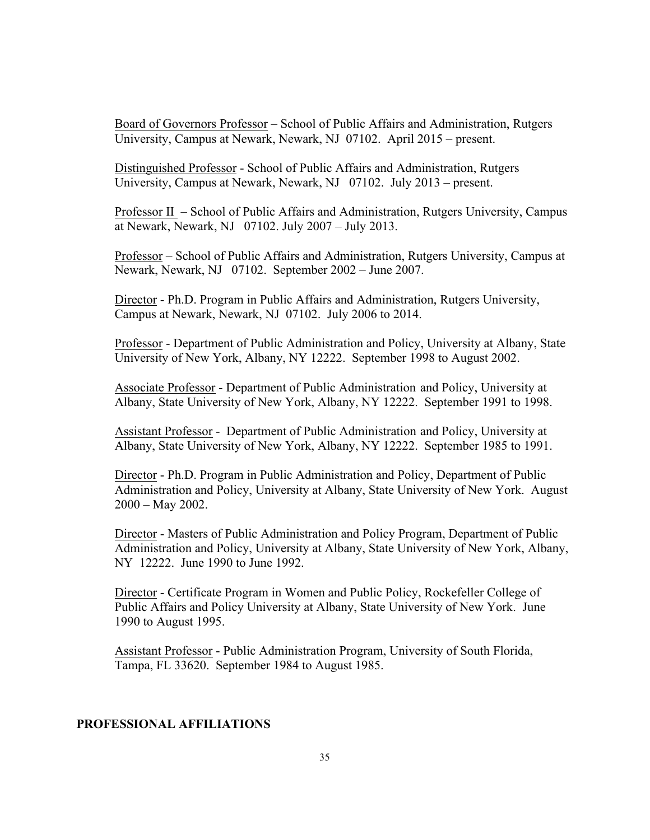Board of Governors Professor – School of Public Affairs and Administration, Rutgers University, Campus at Newark, Newark, NJ 07102. April 2015 – present.

Distinguished Professor - School of Public Affairs and Administration, Rutgers University, Campus at Newark, Newark, NJ 07102. July 2013 – present.

Professor II – School of Public Affairs and Administration, Rutgers University, Campus at Newark, Newark, NJ 07102. July 2007 – July 2013.

Professor – School of Public Affairs and Administration, Rutgers University, Campus at Newark, Newark, NJ 07102. September 2002 – June 2007.

Director - Ph.D. Program in Public Affairs and Administration, Rutgers University, Campus at Newark, Newark, NJ 07102. July 2006 to 2014.

Professor - Department of Public Administration and Policy, University at Albany, State University of New York, Albany, NY 12222. September 1998 to August 2002.

Associate Professor - Department of Public Administration and Policy, University at Albany, State University of New York, Albany, NY 12222. September 1991 to 1998.

Assistant Professor - Department of Public Administration and Policy, University at Albany, State University of New York, Albany, NY 12222. September 1985 to 1991.

Director - Ph.D. Program in Public Administration and Policy, Department of Public Administration and Policy, University at Albany, State University of New York. August 2000 – May 2002.

Director - Masters of Public Administration and Policy Program, Department of Public Administration and Policy, University at Albany, State University of New York, Albany, NY 12222. June 1990 to June 1992.

Director - Certificate Program in Women and Public Policy, Rockefeller College of Public Affairs and Policy University at Albany, State University of New York. June 1990 to August 1995.

Assistant Professor - Public Administration Program, University of South Florida, Tampa, FL 33620. September 1984 to August 1985.

# **PROFESSIONAL AFFILIATIONS**